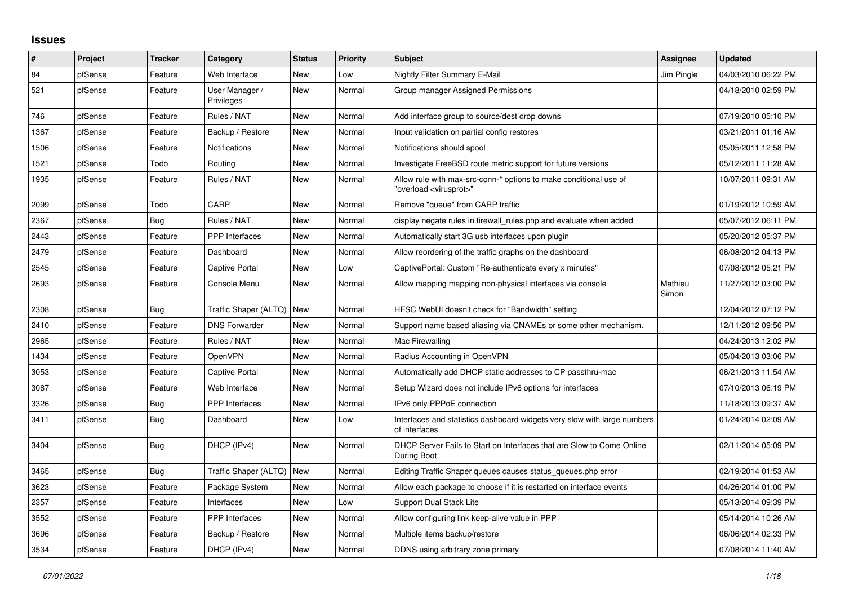## **Issues**

| ∦    | Project | <b>Tracker</b> | Category                     | <b>Status</b> | <b>Priority</b> | <b>Subject</b>                                                                                          | Assignee         | <b>Updated</b>      |
|------|---------|----------------|------------------------------|---------------|-----------------|---------------------------------------------------------------------------------------------------------|------------------|---------------------|
| 84   | pfSense | Feature        | Web Interface                | <b>New</b>    | Low             | Nightly Filter Summary E-Mail                                                                           | Jim Pingle       | 04/03/2010 06:22 PM |
| 521  | pfSense | Feature        | User Manager /<br>Privileges | <b>New</b>    | Normal          | Group manager Assigned Permissions                                                                      |                  | 04/18/2010 02:59 PM |
| 746  | pfSense | Feature        | Rules / NAT                  | <b>New</b>    | Normal          | Add interface group to source/dest drop downs                                                           |                  | 07/19/2010 05:10 PM |
| 1367 | pfSense | Feature        | Backup / Restore             | New           | Normal          | Input validation on partial config restores                                                             |                  | 03/21/2011 01:16 AM |
| 1506 | pfSense | Feature        | Notifications                | <b>New</b>    | Normal          | Notifications should spool                                                                              |                  | 05/05/2011 12:58 PM |
| 1521 | pfSense | Todo           | Routing                      | New           | Normal          | Investigate FreeBSD route metric support for future versions                                            |                  | 05/12/2011 11:28 AM |
| 1935 | pfSense | Feature        | Rules / NAT                  | <b>New</b>    | Normal          | Allow rule with max-src-conn-* options to make conditional use of<br>"overload <virusprot>"</virusprot> |                  | 10/07/2011 09:31 AM |
| 2099 | pfSense | Todo           | CARP                         | <b>New</b>    | Normal          | Remove "queue" from CARP traffic                                                                        |                  | 01/19/2012 10:59 AM |
| 2367 | pfSense | Bug            | Rules / NAT                  | New           | Normal          | display negate rules in firewall_rules.php and evaluate when added                                      |                  | 05/07/2012 06:11 PM |
| 2443 | pfSense | Feature        | <b>PPP</b> Interfaces        | <b>New</b>    | Normal          | Automatically start 3G usb interfaces upon plugin                                                       |                  | 05/20/2012 05:37 PM |
| 2479 | pfSense | Feature        | Dashboard                    | <b>New</b>    | Normal          | Allow reordering of the traffic graphs on the dashboard                                                 |                  | 06/08/2012 04:13 PM |
| 2545 | pfSense | Feature        | Captive Portal               | <b>New</b>    | Low             | CaptivePortal: Custom "Re-authenticate every x minutes"                                                 |                  | 07/08/2012 05:21 PM |
| 2693 | pfSense | Feature        | Console Menu                 | New           | Normal          | Allow mapping mapping non-physical interfaces via console                                               | Mathieu<br>Simon | 11/27/2012 03:00 PM |
| 2308 | pfSense | Bug            | Traffic Shaper (ALTQ)        | New           | Normal          | HFSC WebUI doesn't check for "Bandwidth" setting                                                        |                  | 12/04/2012 07:12 PM |
| 2410 | pfSense | Feature        | <b>DNS Forwarder</b>         | <b>New</b>    | Normal          | Support name based aliasing via CNAMEs or some other mechanism.                                         |                  | 12/11/2012 09:56 PM |
| 2965 | pfSense | Feature        | Rules / NAT                  | New           | Normal          | Mac Firewalling                                                                                         |                  | 04/24/2013 12:02 PM |
| 1434 | pfSense | Feature        | OpenVPN                      | <b>New</b>    | Normal          | Radius Accounting in OpenVPN                                                                            |                  | 05/04/2013 03:06 PM |
| 3053 | pfSense | Feature        | Captive Portal               | <b>New</b>    | Normal          | Automatically add DHCP static addresses to CP passthru-mac                                              |                  | 06/21/2013 11:54 AM |
| 3087 | pfSense | Feature        | Web Interface                | <b>New</b>    | Normal          | Setup Wizard does not include IPv6 options for interfaces                                               |                  | 07/10/2013 06:19 PM |
| 3326 | pfSense | Bug            | PPP Interfaces               | <b>New</b>    | Normal          | IPv6 only PPPoE connection                                                                              |                  | 11/18/2013 09:37 AM |
| 3411 | pfSense | Bug            | Dashboard                    | <b>New</b>    | Low             | Interfaces and statistics dashboard widgets very slow with large numbers<br>of interfaces               |                  | 01/24/2014 02:09 AM |
| 3404 | pfSense | Bug            | DHCP (IPv4)                  | <b>New</b>    | Normal          | DHCP Server Fails to Start on Interfaces that are Slow to Come Online<br>During Boot                    |                  | 02/11/2014 05:09 PM |
| 3465 | pfSense | <b>Bug</b>     | Traffic Shaper (ALTQ)        | <b>New</b>    | Normal          | Editing Traffic Shaper queues causes status_queues.php error                                            |                  | 02/19/2014 01:53 AM |
| 3623 | pfSense | Feature        | Package System               | <b>New</b>    | Normal          | Allow each package to choose if it is restarted on interface events                                     |                  | 04/26/2014 01:00 PM |
| 2357 | pfSense | Feature        | Interfaces                   | New           | Low             | Support Dual Stack Lite                                                                                 |                  | 05/13/2014 09:39 PM |
| 3552 | pfSense | Feature        | <b>PPP</b> Interfaces        | <b>New</b>    | Normal          | Allow configuring link keep-alive value in PPP                                                          |                  | 05/14/2014 10:26 AM |
| 3696 | pfSense | Feature        | Backup / Restore             | <b>New</b>    | Normal          | Multiple items backup/restore                                                                           |                  | 06/06/2014 02:33 PM |
| 3534 | pfSense | Feature        | DHCP (IPv4)                  | <b>New</b>    | Normal          | DDNS using arbitrary zone primary                                                                       |                  | 07/08/2014 11:40 AM |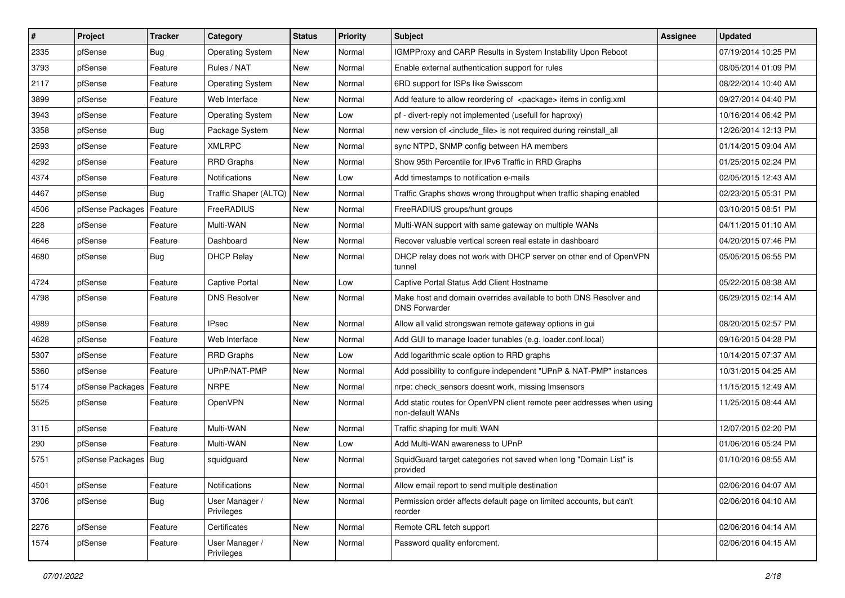| $\vert$ # | Project                | <b>Tracker</b> | Category                     | <b>Status</b> | <b>Priority</b> | <b>Subject</b>                                                                            | <b>Assignee</b> | <b>Updated</b>      |
|-----------|------------------------|----------------|------------------------------|---------------|-----------------|-------------------------------------------------------------------------------------------|-----------------|---------------------|
| 2335      | pfSense                | <b>Bug</b>     | <b>Operating System</b>      | New           | Normal          | IGMPProxy and CARP Results in System Instability Upon Reboot                              |                 | 07/19/2014 10:25 PM |
| 3793      | pfSense                | Feature        | Rules / NAT                  | <b>New</b>    | Normal          | Enable external authentication support for rules                                          |                 | 08/05/2014 01:09 PM |
| 2117      | pfSense                | Feature        | <b>Operating System</b>      | <b>New</b>    | Normal          | 6RD support for ISPs like Swisscom                                                        |                 | 08/22/2014 10:40 AM |
| 3899      | pfSense                | Feature        | Web Interface                | <b>New</b>    | Normal          | Add feature to allow reordering of <package> items in config.xml</package>                |                 | 09/27/2014 04:40 PM |
| 3943      | pfSense                | Feature        | <b>Operating System</b>      | <b>New</b>    | Low             | pf - divert-reply not implemented (usefull for haproxy)                                   |                 | 10/16/2014 06:42 PM |
| 3358      | pfSense                | <b>Bug</b>     | Package System               | New           | Normal          | new version of <include file=""> is not required during reinstall all</include>           |                 | 12/26/2014 12:13 PM |
| 2593      | pfSense                | Feature        | <b>XMLRPC</b>                | <b>New</b>    | Normal          | sync NTPD, SNMP config between HA members                                                 |                 | 01/14/2015 09:04 AM |
| 4292      | pfSense                | Feature        | <b>RRD Graphs</b>            | <b>New</b>    | Normal          | Show 95th Percentile for IPv6 Traffic in RRD Graphs                                       |                 | 01/25/2015 02:24 PM |
| 4374      | pfSense                | Feature        | Notifications                | <b>New</b>    | Low             | Add timestamps to notification e-mails                                                    |                 | 02/05/2015 12:43 AM |
| 4467      | pfSense                | Bug            | Traffic Shaper (ALTQ)        | New           | Normal          | Traffic Graphs shows wrong throughput when traffic shaping enabled                        |                 | 02/23/2015 05:31 PM |
| 4506      | pfSense Packages       | Feature        | FreeRADIUS                   | <b>New</b>    | Normal          | FreeRADIUS groups/hunt groups                                                             |                 | 03/10/2015 08:51 PM |
| 228       | pfSense                | Feature        | Multi-WAN                    | <b>New</b>    | Normal          | Multi-WAN support with same gateway on multiple WANs                                      |                 | 04/11/2015 01:10 AM |
| 4646      | pfSense                | Feature        | Dashboard                    | <b>New</b>    | Normal          | Recover valuable vertical screen real estate in dashboard                                 |                 | 04/20/2015 07:46 PM |
| 4680      | pfSense                | <b>Bug</b>     | <b>DHCP Relay</b>            | <b>New</b>    | Normal          | DHCP relay does not work with DHCP server on other end of OpenVPN<br>tunnel               |                 | 05/05/2015 06:55 PM |
| 4724      | pfSense                | Feature        | Captive Portal               | <b>New</b>    | Low             | Captive Portal Status Add Client Hostname                                                 |                 | 05/22/2015 08:38 AM |
| 4798      | pfSense                | Feature        | <b>DNS Resolver</b>          | <b>New</b>    | Normal          | Make host and domain overrides available to both DNS Resolver and<br><b>DNS Forwarder</b> |                 | 06/29/2015 02:14 AM |
| 4989      | pfSense                | Feature        | <b>IPsec</b>                 | <b>New</b>    | Normal          | Allow all valid strongswan remote gateway options in gui                                  |                 | 08/20/2015 02:57 PM |
| 4628      | pfSense                | Feature        | Web Interface                | <b>New</b>    | Normal          | Add GUI to manage loader tunables (e.g. loader.conf.local)                                |                 | 09/16/2015 04:28 PM |
| 5307      | pfSense                | Feature        | <b>RRD Graphs</b>            | <b>New</b>    | Low             | Add logarithmic scale option to RRD graphs                                                |                 | 10/14/2015 07:37 AM |
| 5360      | pfSense                | Feature        | UPnP/NAT-PMP                 | New           | Normal          | Add possibility to configure independent "UPnP & NAT-PMP" instances                       |                 | 10/31/2015 04:25 AM |
| 5174      | pfSense Packages       | Feature        | <b>NRPE</b>                  | New           | Normal          | nrpe: check_sensors doesnt work, missing Imsensors                                        |                 | 11/15/2015 12:49 AM |
| 5525      | pfSense                | Feature        | OpenVPN                      | <b>New</b>    | Normal          | Add static routes for OpenVPN client remote peer addresses when using<br>non-default WANs |                 | 11/25/2015 08:44 AM |
| 3115      | pfSense                | Feature        | Multi-WAN                    | <b>New</b>    | Normal          | Traffic shaping for multi WAN                                                             |                 | 12/07/2015 02:20 PM |
| 290       | pfSense                | Feature        | Multi-WAN                    | <b>New</b>    | Low             | Add Multi-WAN awareness to UPnP                                                           |                 | 01/06/2016 05:24 PM |
| 5751      | pfSense Packages   Bug |                | squidguard                   | New           | Normal          | SquidGuard target categories not saved when long "Domain List" is<br>provided             |                 | 01/10/2016 08:55 AM |
| 4501      | pfSense                | Feature        | Notifications                | New           | Normal          | Allow email report to send multiple destination                                           |                 | 02/06/2016 04:07 AM |
| 3706      | pfSense                | <b>Bug</b>     | User Manager /<br>Privileges | New           | Normal          | Permission order affects default page on limited accounts, but can't<br>reorder           |                 | 02/06/2016 04:10 AM |
| 2276      | pfSense                | Feature        | Certificates                 | New           | Normal          | Remote CRL fetch support                                                                  |                 | 02/06/2016 04:14 AM |
| 1574      | pfSense                | Feature        | User Manager /<br>Privileges | New           | Normal          | Password quality enforcment.                                                              |                 | 02/06/2016 04:15 AM |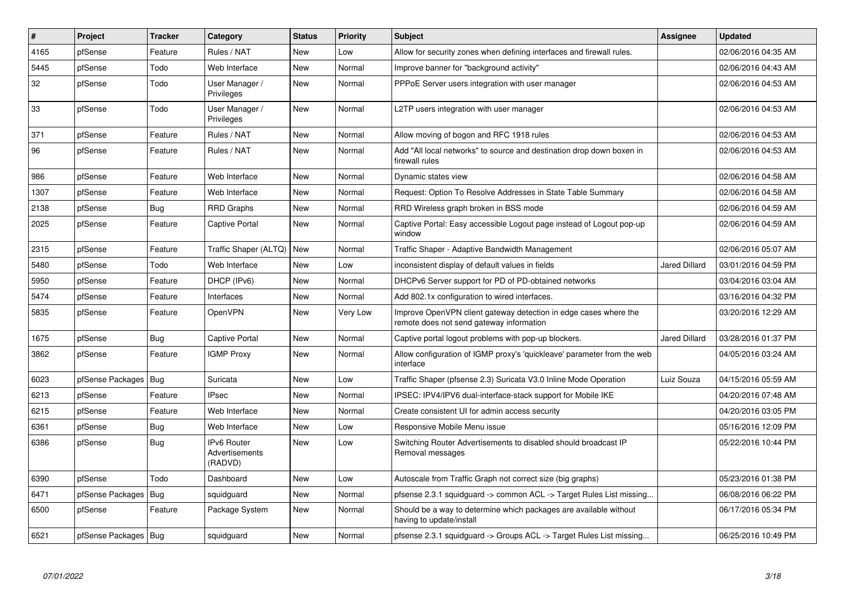| $\pmb{\sharp}$ | Project                | <b>Tracker</b> | Category                                 | <b>Status</b> | <b>Priority</b> | <b>Subject</b>                                                                                               | Assignee             | <b>Updated</b>      |
|----------------|------------------------|----------------|------------------------------------------|---------------|-----------------|--------------------------------------------------------------------------------------------------------------|----------------------|---------------------|
| 4165           | pfSense                | Feature        | Rules / NAT                              | <b>New</b>    | Low             | Allow for security zones when defining interfaces and firewall rules.                                        |                      | 02/06/2016 04:35 AM |
| 5445           | pfSense                | Todo           | Web Interface                            | <b>New</b>    | Normal          | Improve banner for "background activity"                                                                     |                      | 02/06/2016 04:43 AM |
| 32             | pfSense                | Todo           | User Manager /<br>Privileges             | <b>New</b>    | Normal          | PPPoE Server users integration with user manager                                                             |                      | 02/06/2016 04:53 AM |
| 33             | pfSense                | Todo           | User Manager /<br>Privileges             | New           | Normal          | L2TP users integration with user manager                                                                     |                      | 02/06/2016 04:53 AM |
| 371            | pfSense                | Feature        | Rules / NAT                              | <b>New</b>    | Normal          | Allow moving of bogon and RFC 1918 rules                                                                     |                      | 02/06/2016 04:53 AM |
| 96             | pfSense                | Feature        | Rules / NAT                              | <b>New</b>    | Normal          | Add "All local networks" to source and destination drop down boxen in<br>firewall rules                      |                      | 02/06/2016 04:53 AM |
| 986            | pfSense                | Feature        | Web Interface                            | <b>New</b>    | Normal          | Dynamic states view                                                                                          |                      | 02/06/2016 04:58 AM |
| 1307           | pfSense                | Feature        | Web Interface                            | <b>New</b>    | Normal          | Request: Option To Resolve Addresses in State Table Summary                                                  |                      | 02/06/2016 04:58 AM |
| 2138           | pfSense                | Bug            | RRD Graphs                               | New           | Normal          | RRD Wireless graph broken in BSS mode                                                                        |                      | 02/06/2016 04:59 AM |
| 2025           | pfSense                | Feature        | <b>Captive Portal</b>                    | New           | Normal          | Captive Portal: Easy accessible Logout page instead of Logout pop-up<br>window                               |                      | 02/06/2016 04:59 AM |
| 2315           | pfSense                | Feature        | Traffic Shaper (ALTQ)   New              |               | Normal          | Traffic Shaper - Adaptive Bandwidth Management                                                               |                      | 02/06/2016 05:07 AM |
| 5480           | pfSense                | Todo           | Web Interface                            | New           | Low             | inconsistent display of default values in fields                                                             | <b>Jared Dillard</b> | 03/01/2016 04:59 PM |
| 5950           | pfSense                | Feature        | DHCP (IPv6)                              | <b>New</b>    | Normal          | DHCPv6 Server support for PD of PD-obtained networks                                                         |                      | 03/04/2016 03:04 AM |
| 5474           | pfSense                | Feature        | Interfaces                               | <b>New</b>    | Normal          | Add 802.1x configuration to wired interfaces.                                                                |                      | 03/16/2016 04:32 PM |
| 5835           | pfSense                | Feature        | <b>OpenVPN</b>                           | New           | Very Low        | Improve OpenVPN client gateway detection in edge cases where the<br>remote does not send gateway information |                      | 03/20/2016 12:29 AM |
| 1675           | pfSense                | Bug            | <b>Captive Portal</b>                    | <b>New</b>    | Normal          | Captive portal logout problems with pop-up blockers.                                                         | <b>Jared Dillard</b> | 03/28/2016 01:37 PM |
| 3862           | pfSense                | Feature        | <b>IGMP Proxy</b>                        | New           | Normal          | Allow configuration of IGMP proxy's 'quickleave' parameter from the web<br>interface                         |                      | 04/05/2016 03:24 AM |
| 6023           | pfSense Packages   Bug |                | Suricata                                 | <b>New</b>    | Low             | Traffic Shaper (pfsense 2.3) Suricata V3.0 Inline Mode Operation                                             | Luiz Souza           | 04/15/2016 05:59 AM |
| 6213           | pfSense                | Feature        | <b>IPsec</b>                             | New           | Normal          | IPSEC: IPV4/IPV6 dual-interface-stack support for Mobile IKE                                                 |                      | 04/20/2016 07:48 AM |
| 6215           | pfSense                | Feature        | Web Interface                            | <b>New</b>    | Normal          | Create consistent UI for admin access security                                                               |                      | 04/20/2016 03:05 PM |
| 6361           | pfSense                | Bug            | Web Interface                            | <b>New</b>    | Low             | Responsive Mobile Menu issue                                                                                 |                      | 05/16/2016 12:09 PM |
| 6386           | pfSense                | Bug            | IPv6 Router<br>Advertisements<br>(RADVD) | New           | Low             | Switching Router Advertisements to disabled should broadcast IP<br>Removal messages                          |                      | 05/22/2016 10:44 PM |
| 6390           | pfSense                | Todo           | Dashboard                                | New           | Low             | Autoscale from Traffic Graph not correct size (big graphs)                                                   |                      | 05/23/2016 01:38 PM |
| 6471           | pfSense Packages   Bug |                | squidguard                               | <b>New</b>    | Normal          | pfsense 2.3.1 squidguard -> common ACL -> Target Rules List missing                                          |                      | 06/08/2016 06:22 PM |
| 6500           | pfSense                | Feature        | Package System                           | New           | Normal          | Should be a way to determine which packages are available without<br>having to update/install                |                      | 06/17/2016 05:34 PM |
| 6521           | pfSense Packages   Bug |                | squidguard                               | New           | Normal          | pfsense 2.3.1 squidguard -> Groups ACL -> Target Rules List missing                                          |                      | 06/25/2016 10:49 PM |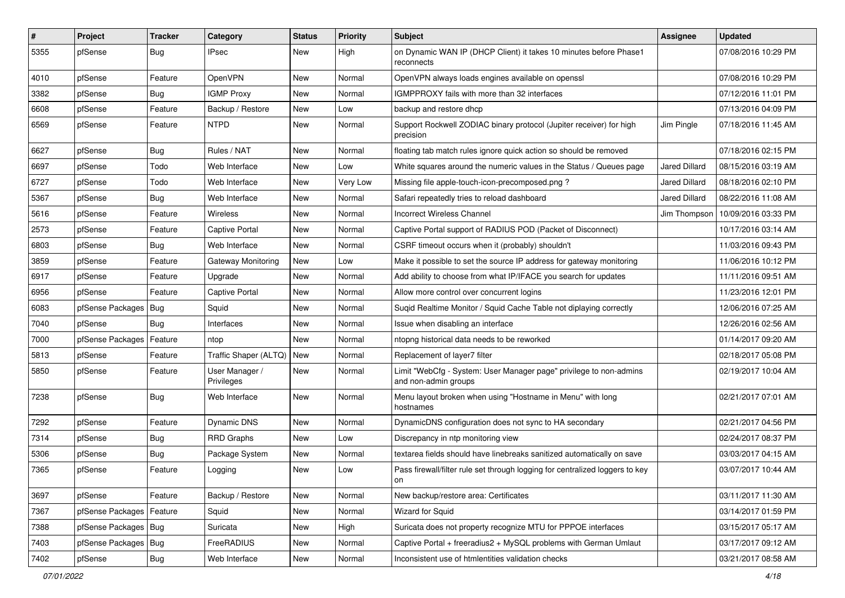| $\vert$ # | Project                | <b>Tracker</b> | Category                     | <b>Status</b> | <b>Priority</b> | <b>Subject</b>                                                                             | Assignee             | <b>Updated</b>                     |
|-----------|------------------------|----------------|------------------------------|---------------|-----------------|--------------------------------------------------------------------------------------------|----------------------|------------------------------------|
| 5355      | pfSense                | Bug            | IPsec                        | New           | High            | on Dynamic WAN IP (DHCP Client) it takes 10 minutes before Phase1<br>reconnects            |                      | 07/08/2016 10:29 PM                |
| 4010      | pfSense                | Feature        | OpenVPN                      | New           | Normal          | OpenVPN always loads engines available on openssl                                          |                      | 07/08/2016 10:29 PM                |
| 3382      | pfSense                | Bug            | <b>IGMP Proxy</b>            | New           | Normal          | IGMPPROXY fails with more than 32 interfaces                                               |                      | 07/12/2016 11:01 PM                |
| 6608      | pfSense                | Feature        | Backup / Restore             | <b>New</b>    | Low             | backup and restore dhcp                                                                    |                      | 07/13/2016 04:09 PM                |
| 6569      | pfSense                | Feature        | <b>NTPD</b>                  | New           | Normal          | Support Rockwell ZODIAC binary protocol (Jupiter receiver) for high<br>precision           | Jim Pingle           | 07/18/2016 11:45 AM                |
| 6627      | pfSense                | Bug            | Rules / NAT                  | <b>New</b>    | Normal          | floating tab match rules ignore quick action so should be removed                          |                      | 07/18/2016 02:15 PM                |
| 6697      | pfSense                | Todo           | Web Interface                | New           | Low             | White squares around the numeric values in the Status / Queues page                        | Jared Dillard        | 08/15/2016 03:19 AM                |
| 6727      | pfSense                | Todo           | Web Interface                | New           | Very Low        | Missing file apple-touch-icon-precomposed.png?                                             | Jared Dillard        | 08/18/2016 02:10 PM                |
| 5367      | pfSense                | Bug            | Web Interface                | New           | Normal          | Safari repeatedly tries to reload dashboard                                                | <b>Jared Dillard</b> | 08/22/2016 11:08 AM                |
| 5616      | pfSense                | Feature        | <b>Wireless</b>              | New           | Normal          | <b>Incorrect Wireless Channel</b>                                                          |                      | Jim Thompson   10/09/2016 03:33 PM |
| 2573      | pfSense                | Feature        | <b>Captive Portal</b>        | <b>New</b>    | Normal          | Captive Portal support of RADIUS POD (Packet of Disconnect)                                |                      | 10/17/2016 03:14 AM                |
| 6803      | pfSense                | Bug            | Web Interface                | <b>New</b>    | Normal          | CSRF timeout occurs when it (probably) shouldn't                                           |                      | 11/03/2016 09:43 PM                |
| 3859      | pfSense                | Feature        | Gateway Monitoring           | <b>New</b>    | Low             | Make it possible to set the source IP address for gateway monitoring                       |                      | 11/06/2016 10:12 PM                |
| 6917      | pfSense                | Feature        | Upgrade                      | New           | Normal          | Add ability to choose from what IP/IFACE you search for updates                            |                      | 11/11/2016 09:51 AM                |
| 6956      | pfSense                | Feature        | Captive Portal               | <b>New</b>    | Normal          | Allow more control over concurrent logins                                                  |                      | 11/23/2016 12:01 PM                |
| 6083      | pfSense Packages       | Bug            | Squid                        | New           | Normal          | Suqid Realtime Monitor / Squid Cache Table not diplaying correctly                         |                      | 12/06/2016 07:25 AM                |
| 7040      | pfSense                | Bug            | Interfaces                   | New           | Normal          | Issue when disabling an interface                                                          |                      | 12/26/2016 02:56 AM                |
| 7000      | pfSense Packages       | Feature        | ntop                         | <b>New</b>    | Normal          | ntopng historical data needs to be reworked                                                |                      | 01/14/2017 09:20 AM                |
| 5813      | pfSense                | Feature        | Traffic Shaper (ALTQ)        | New           | Normal          | Replacement of layer7 filter                                                               |                      | 02/18/2017 05:08 PM                |
| 5850      | pfSense                | Feature        | User Manager /<br>Privileges | New           | Normal          | Limit "WebCfg - System: User Manager page" privilege to non-admins<br>and non-admin groups |                      | 02/19/2017 10:04 AM                |
| 7238      | pfSense                | Bug            | Web Interface                | New           | Normal          | Menu layout broken when using "Hostname in Menu" with long<br>hostnames                    |                      | 02/21/2017 07:01 AM                |
| 7292      | pfSense                | Feature        | Dynamic DNS                  | <b>New</b>    | Normal          | DynamicDNS configuration does not sync to HA secondary                                     |                      | 02/21/2017 04:56 PM                |
| 7314      | pfSense                | Bug            | <b>RRD Graphs</b>            | New           | Low             | Discrepancy in ntp monitoring view                                                         |                      | 02/24/2017 08:37 PM                |
| 5306      | pfSense                | Bug            | Package System               | New           | Normal          | textarea fields should have linebreaks sanitized automatically on save                     |                      | 03/03/2017 04:15 AM                |
| 7365      | pfSense                | Feature        | Logging                      | <b>New</b>    | Low             | Pass firewall/filter rule set through logging for centralized loggers to key<br>on         |                      | 03/07/2017 10:44 AM                |
| 3697      | pfSense                | Feature        | Backup / Restore             | New           | Normal          | New backup/restore area: Certificates                                                      |                      | 03/11/2017 11:30 AM                |
| 7367      | pfSense Packages       | Feature        | Squid                        | New           | Normal          | <b>Wizard for Squid</b>                                                                    |                      | 03/14/2017 01:59 PM                |
| 7388      | pfSense Packages   Bug |                | Suricata                     | New           | High            | Suricata does not property recognize MTU for PPPOE interfaces                              |                      | 03/15/2017 05:17 AM                |
| 7403      | pfSense Packages       | <b>Bug</b>     | FreeRADIUS                   | New           | Normal          | Captive Portal + freeradius2 + MySQL problems with German Umlaut                           |                      | 03/17/2017 09:12 AM                |
| 7402      | pfSense                | Bug            | Web Interface                | New           | Normal          | Inconsistent use of htmlentities validation checks                                         |                      | 03/21/2017 08:58 AM                |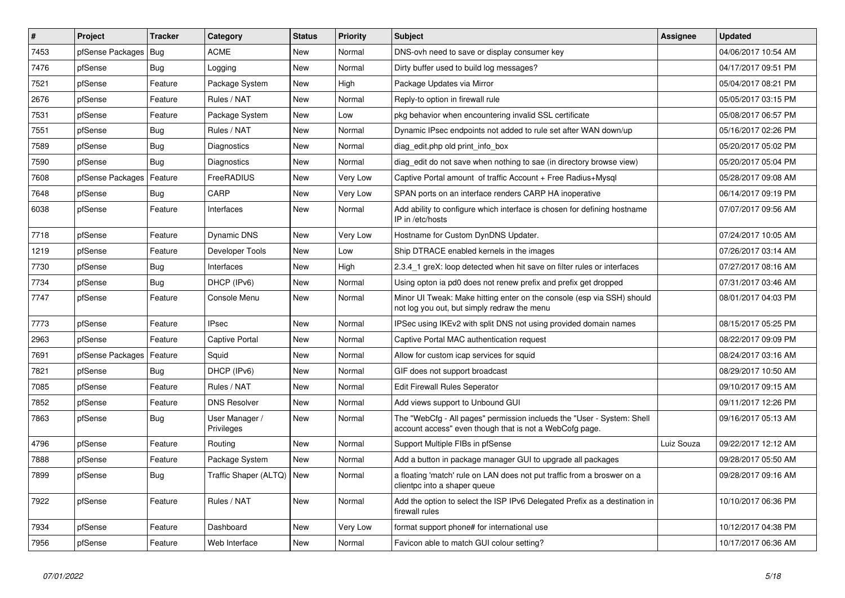| #    | Project                    | <b>Tracker</b> | Category                     | <b>Status</b> | <b>Priority</b> | <b>Subject</b>                                                                                                                    | <b>Assignee</b> | <b>Updated</b>      |
|------|----------------------------|----------------|------------------------------|---------------|-----------------|-----------------------------------------------------------------------------------------------------------------------------------|-----------------|---------------------|
| 7453 | pfSense Packages   Bug     |                | <b>ACME</b>                  | <b>New</b>    | Normal          | DNS-ovh need to save or display consumer key                                                                                      |                 | 04/06/2017 10:54 AM |
| 7476 | pfSense                    | Bug            | Logging                      | <b>New</b>    | Normal          | Dirty buffer used to build log messages?                                                                                          |                 | 04/17/2017 09:51 PM |
| 7521 | pfSense                    | Feature        | Package System               | <b>New</b>    | High            | Package Updates via Mirror                                                                                                        |                 | 05/04/2017 08:21 PM |
| 2676 | pfSense                    | Feature        | Rules / NAT                  | New           | Normal          | Reply-to option in firewall rule                                                                                                  |                 | 05/05/2017 03:15 PM |
| 7531 | pfSense                    | Feature        | Package System               | <b>New</b>    | Low             | pkg behavior when encountering invalid SSL certificate                                                                            |                 | 05/08/2017 06:57 PM |
| 7551 | pfSense                    | Bug            | Rules / NAT                  | <b>New</b>    | Normal          | Dynamic IPsec endpoints not added to rule set after WAN down/up                                                                   |                 | 05/16/2017 02:26 PM |
| 7589 | pfSense                    | Bug            | Diagnostics                  | <b>New</b>    | Normal          | diag edit.php old print info box                                                                                                  |                 | 05/20/2017 05:02 PM |
| 7590 | pfSense                    | Bug            | Diagnostics                  | New           | Normal          | diag edit do not save when nothing to sae (in directory browse view)                                                              |                 | 05/20/2017 05:04 PM |
| 7608 | pfSense Packages           | Feature        | FreeRADIUS                   | <b>New</b>    | Very Low        | Captive Portal amount of traffic Account + Free Radius+Mysql                                                                      |                 | 05/28/2017 09:08 AM |
| 7648 | pfSense                    | Bug            | CARP                         | <b>New</b>    | Very Low        | SPAN ports on an interface renders CARP HA inoperative                                                                            |                 | 06/14/2017 09:19 PM |
| 6038 | pfSense                    | Feature        | Interfaces                   | <b>New</b>    | Normal          | Add ability to configure which interface is chosen for defining hostname<br>IP in /etc/hosts                                      |                 | 07/07/2017 09:56 AM |
| 7718 | pfSense                    | Feature        | <b>Dynamic DNS</b>           | <b>New</b>    | Very Low        | Hostname for Custom DynDNS Updater.                                                                                               |                 | 07/24/2017 10:05 AM |
| 1219 | pfSense                    | Feature        | Developer Tools              | <b>New</b>    | Low             | Ship DTRACE enabled kernels in the images                                                                                         |                 | 07/26/2017 03:14 AM |
| 7730 | pfSense                    | Bug            | Interfaces                   | <b>New</b>    | High            | 2.3.4_1 greX: loop detected when hit save on filter rules or interfaces                                                           |                 | 07/27/2017 08:16 AM |
| 7734 | pfSense                    | Bug            | DHCP (IPv6)                  | <b>New</b>    | Normal          | Using opton ia pd0 does not renew prefix and prefix get dropped                                                                   |                 | 07/31/2017 03:46 AM |
| 7747 | pfSense                    | Feature        | Console Menu                 | New           | Normal          | Minor UI Tweak: Make hitting enter on the console (esp via SSH) should<br>not log you out, but simply redraw the menu             |                 | 08/01/2017 04:03 PM |
| 7773 | pfSense                    | Feature        | <b>IPsec</b>                 | New           | Normal          | IPSec using IKEv2 with split DNS not using provided domain names                                                                  |                 | 08/15/2017 05:25 PM |
| 2963 | pfSense                    | Feature        | <b>Captive Portal</b>        | New           | Normal          | Captive Portal MAC authentication request                                                                                         |                 | 08/22/2017 09:09 PM |
| 7691 | pfSense Packages   Feature |                | Squid                        | New           | Normal          | Allow for custom icap services for squid                                                                                          |                 | 08/24/2017 03:16 AM |
| 7821 | pfSense                    | Bug            | DHCP (IPv6)                  | New           | Normal          | GIF does not support broadcast                                                                                                    |                 | 08/29/2017 10:50 AM |
| 7085 | pfSense                    | Feature        | Rules / NAT                  | <b>New</b>    | Normal          | <b>Edit Firewall Rules Seperator</b>                                                                                              |                 | 09/10/2017 09:15 AM |
| 7852 | pfSense                    | Feature        | <b>DNS Resolver</b>          | New           | Normal          | Add views support to Unbound GUI                                                                                                  |                 | 09/11/2017 12:26 PM |
| 7863 | pfSense                    | Bug            | User Manager /<br>Privileges | New           | Normal          | The "WebCfg - All pages" permission inclueds the "User - System: Shell<br>account access" even though that is not a WebCofg page. |                 | 09/16/2017 05:13 AM |
| 4796 | pfSense                    | Feature        | Routing                      | New           | Normal          | Support Multiple FIBs in pfSense                                                                                                  | Luiz Souza      | 09/22/2017 12:12 AM |
| 7888 | pfSense                    | Feature        | Package System               | <b>New</b>    | Normal          | Add a button in package manager GUI to upgrade all packages                                                                       |                 | 09/28/2017 05:50 AM |
| 7899 | pfSense                    | Bug            | Traffic Shaper (ALTQ)   New  |               | Normal          | a floating 'match' rule on LAN does not put traffic from a broswer on a<br>clientpc into a shaper queue                           |                 | 09/28/2017 09:16 AM |
| 7922 | pfSense                    | Feature        | Rules / NAT                  | New           | Normal          | Add the option to select the ISP IPv6 Delegated Prefix as a destination in<br>firewall rules                                      |                 | 10/10/2017 06:36 PM |
| 7934 | pfSense                    | Feature        | Dashboard                    | <b>New</b>    | Very Low        | format support phone# for international use                                                                                       |                 | 10/12/2017 04:38 PM |
| 7956 | pfSense                    | Feature        | Web Interface                | New           | Normal          | Favicon able to match GUI colour setting?                                                                                         |                 | 10/17/2017 06:36 AM |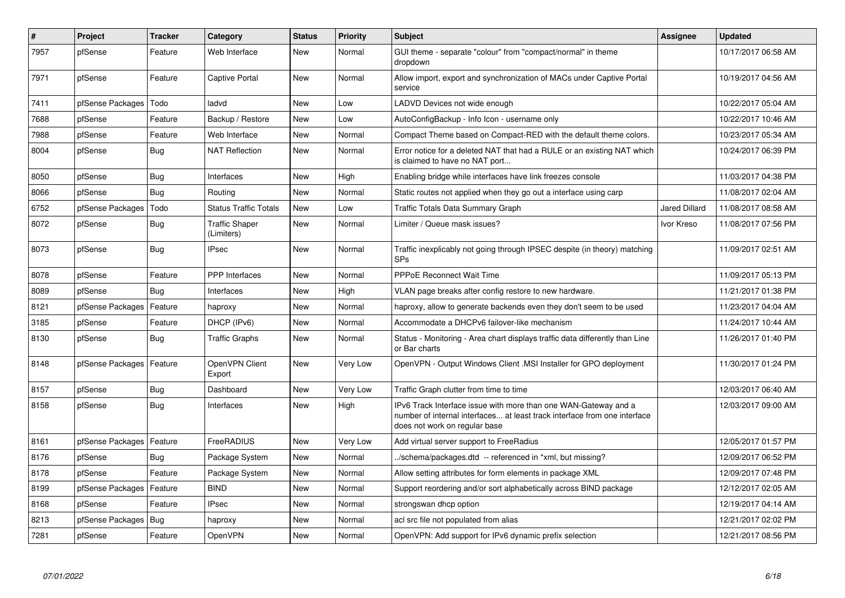| $\pmb{\#}$ | Project                    | <b>Tracker</b> | Category                            | <b>Status</b> | <b>Priority</b> | <b>Subject</b>                                                                                                                                                                | Assignee             | <b>Updated</b>      |
|------------|----------------------------|----------------|-------------------------------------|---------------|-----------------|-------------------------------------------------------------------------------------------------------------------------------------------------------------------------------|----------------------|---------------------|
| 7957       | pfSense                    | Feature        | Web Interface                       | <b>New</b>    | Normal          | GUI theme - separate "colour" from "compact/normal" in theme<br>dropdown                                                                                                      |                      | 10/17/2017 06:58 AM |
| 7971       | pfSense                    | Feature        | Captive Portal                      | New           | Normal          | Allow import, export and synchronization of MACs under Captive Portal<br>service                                                                                              |                      | 10/19/2017 04:56 AM |
| 7411       | pfSense Packages           | Todo           | ladvd                               | New           | Low             | LADVD Devices not wide enough                                                                                                                                                 |                      | 10/22/2017 05:04 AM |
| 7688       | pfSense                    | Feature        | Backup / Restore                    | <b>New</b>    | Low             | AutoConfigBackup - Info Icon - username only                                                                                                                                  |                      | 10/22/2017 10:46 AM |
| 7988       | pfSense                    | Feature        | Web Interface                       | <b>New</b>    | Normal          | Compact Theme based on Compact-RED with the default theme colors.                                                                                                             |                      | 10/23/2017 05:34 AM |
| 8004       | pfSense                    | Bug            | <b>NAT Reflection</b>               | <b>New</b>    | Normal          | Error notice for a deleted NAT that had a RULE or an existing NAT which<br>is claimed to have no NAT port                                                                     |                      | 10/24/2017 06:39 PM |
| 8050       | pfSense                    | <b>Bug</b>     | Interfaces                          | <b>New</b>    | High            | Enabling bridge while interfaces have link freezes console                                                                                                                    |                      | 11/03/2017 04:38 PM |
| 8066       | pfSense                    | <b>Bug</b>     | Routing                             | <b>New</b>    | Normal          | Static routes not applied when they go out a interface using carp                                                                                                             |                      | 11/08/2017 02:04 AM |
| 6752       | pfSense Packages           | Todo           | <b>Status Traffic Totals</b>        | <b>New</b>    | Low             | Traffic Totals Data Summary Graph                                                                                                                                             | <b>Jared Dillard</b> | 11/08/2017 08:58 AM |
| 8072       | pfSense                    | <b>Bug</b>     | <b>Traffic Shaper</b><br>(Limiters) | <b>New</b>    | Normal          | Limiter / Queue mask issues?                                                                                                                                                  | Ivor Kreso           | 11/08/2017 07:56 PM |
| 8073       | pfSense                    | Bug            | <b>IPsec</b>                        | <b>New</b>    | Normal          | Traffic inexplicably not going through IPSEC despite (in theory) matching<br><b>SPs</b>                                                                                       |                      | 11/09/2017 02:51 AM |
| 8078       | pfSense                    | Feature        | <b>PPP</b> Interfaces               | <b>New</b>    | Normal          | <b>PPPoE Reconnect Wait Time</b>                                                                                                                                              |                      | 11/09/2017 05:13 PM |
| 8089       | pfSense                    | Bug            | Interfaces                          | New           | High            | VLAN page breaks after config restore to new hardware.                                                                                                                        |                      | 11/21/2017 01:38 PM |
| 8121       | pfSense Packages           | Feature        | haproxy                             | New           | Normal          | haproxy, allow to generate backends even they don't seem to be used                                                                                                           |                      | 11/23/2017 04:04 AM |
| 3185       | pfSense                    | Feature        | DHCP (IPv6)                         | New           | Normal          | Accommodate a DHCPv6 failover-like mechanism                                                                                                                                  |                      | 11/24/2017 10:44 AM |
| 8130       | pfSense                    | Bug            | <b>Traffic Graphs</b>               | New           | Normal          | Status - Monitoring - Area chart displays traffic data differently than Line<br>or Bar charts                                                                                 |                      | 11/26/2017 01:40 PM |
| 8148       | pfSense Packages   Feature |                | OpenVPN Client<br>Export            | <b>New</b>    | Very Low        | OpenVPN - Output Windows Client .MSI Installer for GPO deployment                                                                                                             |                      | 11/30/2017 01:24 PM |
| 8157       | pfSense                    | Bug            | Dashboard                           | <b>New</b>    | Very Low        | Traffic Graph clutter from time to time                                                                                                                                       |                      | 12/03/2017 06:40 AM |
| 8158       | pfSense                    | <b>Bug</b>     | Interfaces                          | <b>New</b>    | High            | IPv6 Track Interface issue with more than one WAN-Gateway and a<br>number of internal interfaces at least track interface from one interface<br>does not work on regular base |                      | 12/03/2017 09:00 AM |
| 8161       | pfSense Packages           | Feature        | FreeRADIUS                          | <b>New</b>    | Very Low        | Add virtual server support to FreeRadius                                                                                                                                      |                      | 12/05/2017 01:57 PM |
| 8176       | pfSense                    | Bug            | Package System                      | New           | Normal          | ./schema/packages.dtd -- referenced in *xml, but missing?                                                                                                                     |                      | 12/09/2017 06:52 PM |
| 8178       | pfSense                    | Feature        | Package System                      | <b>New</b>    | Normal          | Allow setting attributes for form elements in package XML                                                                                                                     |                      | 12/09/2017 07:48 PM |
| 8199       | pfSense Packages           | Feature        | <b>BIND</b>                         | <b>New</b>    | Normal          | Support reordering and/or sort alphabetically across BIND package                                                                                                             |                      | 12/12/2017 02:05 AM |
| 8168       | pfSense                    | Feature        | IPsec                               | New           | Normal          | strongswan dhcp option                                                                                                                                                        |                      | 12/19/2017 04:14 AM |
| 8213       | pfSense Packages           | Bug            | haproxy                             | <b>New</b>    | Normal          | acl src file not populated from alias                                                                                                                                         |                      | 12/21/2017 02:02 PM |
| 7281       | pfSense                    | Feature        | OpenVPN                             | <b>New</b>    | Normal          | OpenVPN: Add support for IPv6 dynamic prefix selection                                                                                                                        |                      | 12/21/2017 08:56 PM |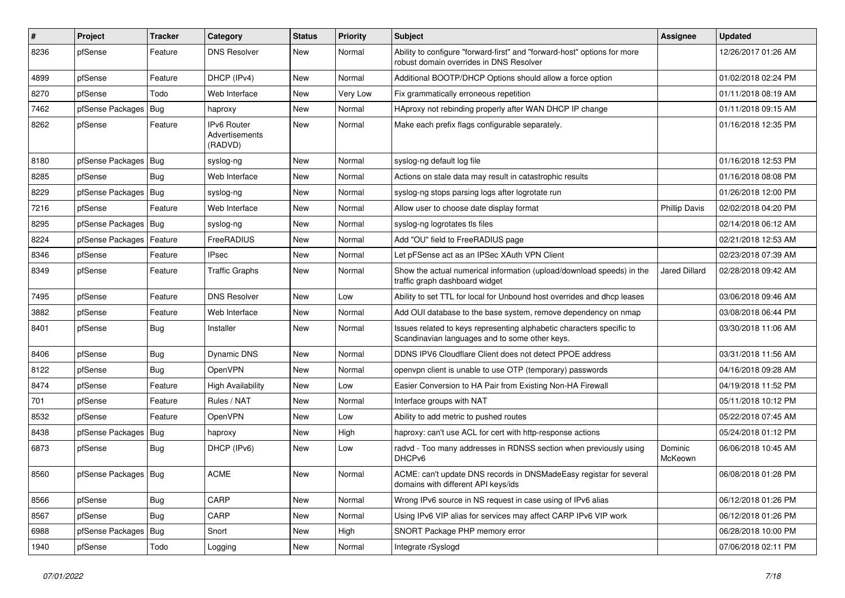| #    | Project                | Tracker    | Category                                 | <b>Status</b> | <b>Priority</b> | <b>Subject</b>                                                                                                          | Assignee             | <b>Updated</b>      |
|------|------------------------|------------|------------------------------------------|---------------|-----------------|-------------------------------------------------------------------------------------------------------------------------|----------------------|---------------------|
| 8236 | pfSense                | Feature    | <b>DNS Resolver</b>                      | <b>New</b>    | Normal          | Ability to configure "forward-first" and "forward-host" options for more<br>robust domain overrides in DNS Resolver     |                      | 12/26/2017 01:26 AM |
| 4899 | pfSense                | Feature    | DHCP (IPv4)                              | <b>New</b>    | Normal          | Additional BOOTP/DHCP Options should allow a force option                                                               |                      | 01/02/2018 02:24 PM |
| 8270 | pfSense                | Todo       | Web Interface                            | <b>New</b>    | Very Low        | Fix grammatically erroneous repetition                                                                                  |                      | 01/11/2018 08:19 AM |
| 7462 | pfSense Packages       | Bug        | haproxy                                  | <b>New</b>    | Normal          | HAproxy not rebinding properly after WAN DHCP IP change                                                                 |                      | 01/11/2018 09:15 AM |
| 8262 | pfSense                | Feature    | IPv6 Router<br>Advertisements<br>(RADVD) | <b>New</b>    | Normal          | Make each prefix flags configurable separately.                                                                         |                      | 01/16/2018 12:35 PM |
| 8180 | pfSense Packages       | Bug        | syslog-ng                                | New           | Normal          | syslog-ng default log file                                                                                              |                      | 01/16/2018 12:53 PM |
| 8285 | pfSense                | <b>Bug</b> | Web Interface                            | <b>New</b>    | Normal          | Actions on stale data may result in catastrophic results                                                                |                      | 01/16/2018 08:08 PM |
| 8229 | pfSense Packages       | Bug        | syslog-ng                                | <b>New</b>    | Normal          | syslog-ng stops parsing logs after logrotate run                                                                        |                      | 01/26/2018 12:00 PM |
| 7216 | pfSense                | Feature    | Web Interface                            | <b>New</b>    | Normal          | Allow user to choose date display format                                                                                | <b>Phillip Davis</b> | 02/02/2018 04:20 PM |
| 8295 | pfSense Packages       | Bug        | syslog-ng                                | <b>New</b>    | Normal          | syslog-ng logrotates tls files                                                                                          |                      | 02/14/2018 06:12 AM |
| 8224 | pfSense Packages       | Feature    | FreeRADIUS                               | <b>New</b>    | Normal          | Add "OU" field to FreeRADIUS page                                                                                       |                      | 02/21/2018 12:53 AM |
| 8346 | pfSense                | Feature    | <b>IPsec</b>                             | <b>New</b>    | Normal          | Let pFSense act as an IPSec XAuth VPN Client                                                                            |                      | 02/23/2018 07:39 AM |
| 8349 | pfSense                | Feature    | <b>Traffic Graphs</b>                    | <b>New</b>    | Normal          | Show the actual numerical information (upload/download speeds) in the<br>traffic graph dashboard widget                 | <b>Jared Dillard</b> | 02/28/2018 09:42 AM |
| 7495 | pfSense                | Feature    | <b>DNS Resolver</b>                      | <b>New</b>    | Low             | Ability to set TTL for local for Unbound host overrides and dhcp leases                                                 |                      | 03/06/2018 09:46 AM |
| 3882 | pfSense                | Feature    | Web Interface                            | <b>New</b>    | Normal          | Add OUI database to the base system, remove dependency on nmap                                                          |                      | 03/08/2018 06:44 PM |
| 8401 | pfSense                | <b>Bug</b> | Installer                                | <b>New</b>    | Normal          | Issues related to keys representing alphabetic characters specific to<br>Scandinavian languages and to some other keys. |                      | 03/30/2018 11:06 AM |
| 8406 | pfSense                | <b>Bug</b> | Dynamic DNS                              | <b>New</b>    | Normal          | DDNS IPV6 Cloudflare Client does not detect PPOE address                                                                |                      | 03/31/2018 11:56 AM |
| 8122 | pfSense                | Bug        | OpenVPN                                  | <b>New</b>    | Normal          | openypn client is unable to use OTP (temporary) passwords                                                               |                      | 04/16/2018 09:28 AM |
| 8474 | pfSense                | Feature    | <b>High Availability</b>                 | <b>New</b>    | Low             | Easier Conversion to HA Pair from Existing Non-HA Firewall                                                              |                      | 04/19/2018 11:52 PM |
| 701  | pfSense                | Feature    | Rules / NAT                              | <b>New</b>    | Normal          | Interface groups with NAT                                                                                               |                      | 05/11/2018 10:12 PM |
| 8532 | pfSense                | Feature    | <b>OpenVPN</b>                           | <b>New</b>    | Low             | Ability to add metric to pushed routes                                                                                  |                      | 05/22/2018 07:45 AM |
| 8438 | pfSense Packages       | <b>Bug</b> | haproxy                                  | <b>New</b>    | High            | haproxy: can't use ACL for cert with http-response actions                                                              |                      | 05/24/2018 01:12 PM |
| 6873 | pfSense                | <b>Bug</b> | DHCP (IPv6)                              | <b>New</b>    | Low             | radvd - Too many addresses in RDNSS section when previously using<br>DHCPv6                                             | Dominic<br>McKeown   | 06/06/2018 10:45 AM |
| 8560 | pfSense Packages   Bug |            | <b>ACME</b>                              | New           | Normal          | ACME: can't update DNS records in DNSMadeEasy registar for several<br>domains with different API keys/ids               |                      | 06/08/2018 01:28 PM |
| 8566 | pfSense                | <b>Bug</b> | CARP                                     | New           | Normal          | Wrong IPv6 source in NS request in case using of IPv6 alias                                                             |                      | 06/12/2018 01:26 PM |
| 8567 | pfSense                | Bug        | CARP                                     | New           | Normal          | Using IPv6 VIP alias for services may affect CARP IPv6 VIP work                                                         |                      | 06/12/2018 01:26 PM |
| 6988 | pfSense Packages       | Bug        | Snort                                    | New           | High            | SNORT Package PHP memory error                                                                                          |                      | 06/28/2018 10:00 PM |
| 1940 | pfSense                | Todo       | Logging                                  | New           | Normal          | Integrate rSyslogd                                                                                                      |                      | 07/06/2018 02:11 PM |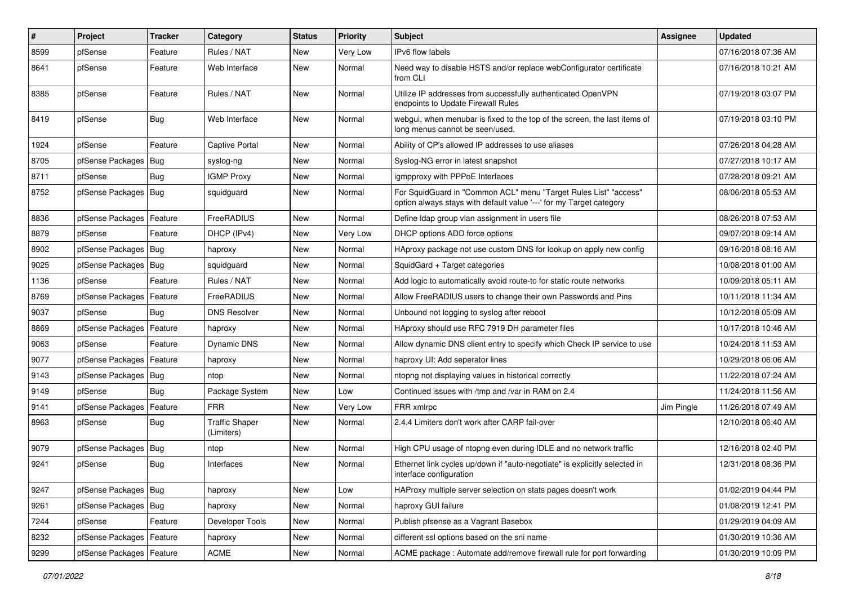| #    | Project                    | Tracker    | Category                            | <b>Status</b> | <b>Priority</b> | <b>Subject</b>                                                                                                                          | <b>Assignee</b> | <b>Updated</b>      |
|------|----------------------------|------------|-------------------------------------|---------------|-----------------|-----------------------------------------------------------------------------------------------------------------------------------------|-----------------|---------------------|
| 8599 | pfSense                    | Feature    | Rules / NAT                         | <b>New</b>    | Very Low        | IPv6 flow labels                                                                                                                        |                 | 07/16/2018 07:36 AM |
| 8641 | pfSense                    | Feature    | Web Interface                       | <b>New</b>    | Normal          | Need way to disable HSTS and/or replace webConfigurator certificate<br>from CLI                                                         |                 | 07/16/2018 10:21 AM |
| 8385 | pfSense                    | Feature    | Rules / NAT                         | <b>New</b>    | Normal          | Utilize IP addresses from successfully authenticated OpenVPN<br>endpoints to Update Firewall Rules                                      |                 | 07/19/2018 03:07 PM |
| 8419 | pfSense                    | Bug        | Web Interface                       | <b>New</b>    | Normal          | webgui, when menubar is fixed to the top of the screen, the last items of<br>long menus cannot be seen/used.                            |                 | 07/19/2018 03:10 PM |
| 1924 | pfSense                    | Feature    | Captive Portal                      | <b>New</b>    | Normal          | Ability of CP's allowed IP addresses to use aliases                                                                                     |                 | 07/26/2018 04:28 AM |
| 8705 | pfSense Packages           | Bug        | syslog-ng                           | <b>New</b>    | Normal          | Syslog-NG error in latest snapshot                                                                                                      |                 | 07/27/2018 10:17 AM |
| 8711 | pfSense                    | Bug        | <b>IGMP Proxy</b>                   | <b>New</b>    | Normal          | igmpproxy with PPPoE Interfaces                                                                                                         |                 | 07/28/2018 09:21 AM |
| 8752 | pfSense Packages           | Bug        | squidguard                          | <b>New</b>    | Normal          | For SquidGuard in "Common ACL" menu "Target Rules List" "access"<br>option always stays with default value '---' for my Target category |                 | 08/06/2018 05:53 AM |
| 8836 | pfSense Packages           | Feature    | FreeRADIUS                          | New           | Normal          | Define Idap group vlan assignment in users file                                                                                         |                 | 08/26/2018 07:53 AM |
| 8879 | pfSense                    | Feature    | DHCP (IPv4)                         | <b>New</b>    | Very Low        | DHCP options ADD force options                                                                                                          |                 | 09/07/2018 09:14 AM |
| 8902 | pfSense Packages   Bug     |            | haproxy                             | <b>New</b>    | Normal          | HAproxy package not use custom DNS for lookup on apply new config                                                                       |                 | 09/16/2018 08:16 AM |
| 9025 | pfSense Packages           | Bug        | squidquard                          | <b>New</b>    | Normal          | SquidGard + Target categories                                                                                                           |                 | 10/08/2018 01:00 AM |
| 1136 | pfSense                    | Feature    | Rules / NAT                         | <b>New</b>    | Normal          | Add logic to automatically avoid route-to for static route networks                                                                     |                 | 10/09/2018 05:11 AM |
| 8769 | pfSense Packages           | Feature    | FreeRADIUS                          | <b>New</b>    | Normal          | Allow FreeRADIUS users to change their own Passwords and Pins                                                                           |                 | 10/11/2018 11:34 AM |
| 9037 | pfSense                    | Bug        | <b>DNS Resolver</b>                 | <b>New</b>    | Normal          | Unbound not logging to syslog after reboot                                                                                              |                 | 10/12/2018 05:09 AM |
| 8869 | pfSense Packages           | Feature    | haproxy                             | New           | Normal          | HAproxy should use RFC 7919 DH parameter files                                                                                          |                 | 10/17/2018 10:46 AM |
| 9063 | pfSense                    | Feature    | Dynamic DNS                         | <b>New</b>    | Normal          | Allow dynamic DNS client entry to specify which Check IP service to use                                                                 |                 | 10/24/2018 11:53 AM |
| 9077 | pfSense Packages           | Feature    | haproxy                             | New           | Normal          | haproxy UI: Add seperator lines                                                                                                         |                 | 10/29/2018 06:06 AM |
| 9143 | pfSense Packages           | Bug        | ntop                                | <b>New</b>    | Normal          | ntopng not displaying values in historical correctly                                                                                    |                 | 11/22/2018 07:24 AM |
| 9149 | pfSense                    | Bug        | Package System                      | New           | Low             | Continued issues with /tmp and /var in RAM on 2.4                                                                                       |                 | 11/24/2018 11:56 AM |
| 9141 | pfSense Packages   Feature |            | <b>FRR</b>                          | <b>New</b>    | Very Low        | FRR xmlrpc                                                                                                                              | Jim Pingle      | 11/26/2018 07:49 AM |
| 8963 | pfSense                    | <b>Bug</b> | <b>Traffic Shaper</b><br>(Limiters) | New           | Normal          | 2.4.4 Limiters don't work after CARP fail-over                                                                                          |                 | 12/10/2018 06:40 AM |
| 9079 | pfSense Packages           | Bug        | ntop                                | <b>New</b>    | Normal          | High CPU usage of ntopng even during IDLE and no network traffic                                                                        |                 | 12/16/2018 02:40 PM |
| 9241 | pfSense                    | <b>Bug</b> | Interfaces                          | <b>New</b>    | Normal          | Ethernet link cycles up/down if "auto-negotiate" is explicitly selected in<br>interface configuration                                   |                 | 12/31/2018 08:36 PM |
| 9247 | pfSense Packages Bug       |            | haproxy                             | <b>New</b>    | Low             | HAProxy multiple server selection on stats pages doesn't work                                                                           |                 | 01/02/2019 04:44 PM |
| 9261 | pfSense Packages   Bug     |            | haproxy                             | New           | Normal          | haproxy GUI failure                                                                                                                     |                 | 01/08/2019 12:41 PM |
| 7244 | pfSense                    | Feature    | Developer Tools                     | New           | Normal          | Publish pfsense as a Vagrant Basebox                                                                                                    |                 | 01/29/2019 04:09 AM |
| 8232 | pfSense Packages           | Feature    | haproxy                             | New           | Normal          | different ssl options based on the sni name                                                                                             |                 | 01/30/2019 10:36 AM |
| 9299 | pfSense Packages           | Feature    | ACME                                | New           | Normal          | ACME package: Automate add/remove firewall rule for port forwarding                                                                     |                 | 01/30/2019 10:09 PM |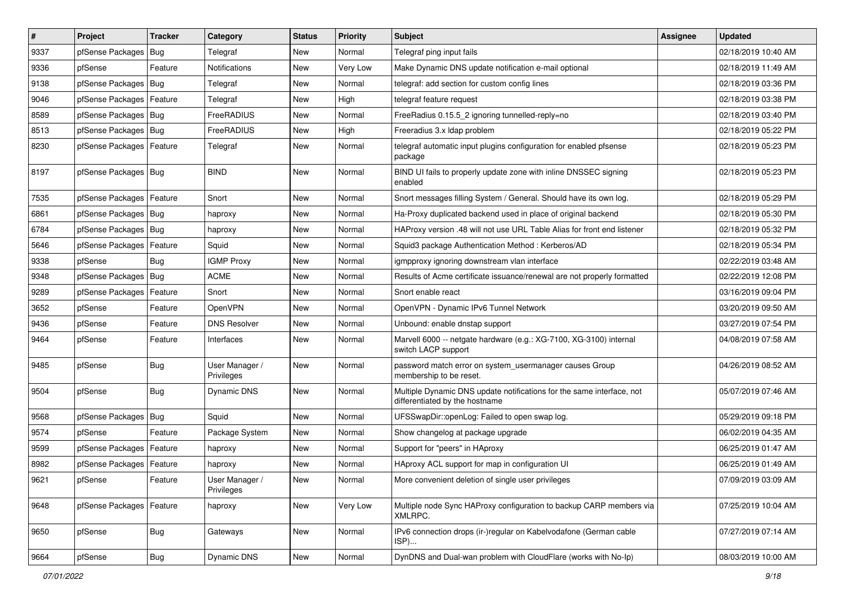| $\vert$ # | Project                    | <b>Tracker</b> | Category                     | <b>Status</b> | <b>Priority</b> | <b>Subject</b>                                                                                          | <b>Assignee</b> | <b>Updated</b>      |
|-----------|----------------------------|----------------|------------------------------|---------------|-----------------|---------------------------------------------------------------------------------------------------------|-----------------|---------------------|
| 9337      | pfSense Packages           | Bug            | Telegraf                     | New           | Normal          | Telegraf ping input fails                                                                               |                 | 02/18/2019 10:40 AM |
| 9336      | pfSense                    | Feature        | Notifications                | New           | Very Low        | Make Dynamic DNS update notification e-mail optional                                                    |                 | 02/18/2019 11:49 AM |
| 9138      | pfSense Packages           | <b>Bug</b>     | Telegraf                     | <b>New</b>    | Normal          | telegraf: add section for custom config lines                                                           |                 | 02/18/2019 03:36 PM |
| 9046      | pfSense Packages   Feature |                | Telegraf                     | <b>New</b>    | High            | telegraf feature request                                                                                |                 | 02/18/2019 03:38 PM |
| 8589      | pfSense Packages           | Bug            | FreeRADIUS                   | <b>New</b>    | Normal          | FreeRadius 0.15.5_2 ignoring tunnelled-reply=no                                                         |                 | 02/18/2019 03:40 PM |
| 8513      | pfSense Packages   Bug     |                | FreeRADIUS                   | <b>New</b>    | High            | Freeradius 3.x Idap problem                                                                             |                 | 02/18/2019 05:22 PM |
| 8230      | pfSense Packages   Feature |                | Telegraf                     | <b>New</b>    | Normal          | telegraf automatic input plugins configuration for enabled pfsense<br>package                           |                 | 02/18/2019 05:23 PM |
| 8197      | pfSense Packages   Bug     |                | <b>BIND</b>                  | <b>New</b>    | Normal          | BIND UI fails to properly update zone with inline DNSSEC signing<br>enabled                             |                 | 02/18/2019 05:23 PM |
| 7535      | pfSense Packages           | Feature        | Snort                        | <b>New</b>    | Normal          | Snort messages filling System / General. Should have its own log.                                       |                 | 02/18/2019 05:29 PM |
| 6861      | pfSense Packages   Bug     |                | haproxy                      | <b>New</b>    | Normal          | Ha-Proxy duplicated backend used in place of original backend                                           |                 | 02/18/2019 05:30 PM |
| 6784      | pfSense Packages           | Bug            | haproxy                      | New           | Normal          | HAProxy version .48 will not use URL Table Alias for front end listener                                 |                 | 02/18/2019 05:32 PM |
| 5646      | pfSense Packages           | Feature        | Squid                        | <b>New</b>    | Normal          | Squid3 package Authentication Method: Kerberos/AD                                                       |                 | 02/18/2019 05:34 PM |
| 9338      | pfSense                    | Bug            | <b>IGMP Proxy</b>            | <b>New</b>    | Normal          | igmpproxy ignoring downstream vlan interface                                                            |                 | 02/22/2019 03:48 AM |
| 9348      | pfSense Packages           | Bug            | ACME                         | <b>New</b>    | Normal          | Results of Acme certificate issuance/renewal are not properly formatted                                 |                 | 02/22/2019 12:08 PM |
| 9289      | pfSense Packages           | Feature        | Snort                        | <b>New</b>    | Normal          | Snort enable react                                                                                      |                 | 03/16/2019 09:04 PM |
| 3652      | pfSense                    | Feature        | OpenVPN                      | <b>New</b>    | Normal          | OpenVPN - Dynamic IPv6 Tunnel Network                                                                   |                 | 03/20/2019 09:50 AM |
| 9436      | pfSense                    | Feature        | <b>DNS Resolver</b>          | <b>New</b>    | Normal          | Unbound: enable dnstap support                                                                          |                 | 03/27/2019 07:54 PM |
| 9464      | pfSense                    | Feature        | Interfaces                   | <b>New</b>    | Normal          | Marvell 6000 -- netgate hardware (e.g.: XG-7100, XG-3100) internal<br>switch LACP support               |                 | 04/08/2019 07:58 AM |
| 9485      | pfSense                    | Bug            | User Manager /<br>Privileges | <b>New</b>    | Normal          | password match error on system usermanager causes Group<br>membership to be reset.                      |                 | 04/26/2019 08:52 AM |
| 9504      | pfSense                    | <b>Bug</b>     | Dynamic DNS                  | New           | Normal          | Multiple Dynamic DNS update notifications for the same interface, not<br>differentiated by the hostname |                 | 05/07/2019 07:46 AM |
| 9568      | pfSense Packages           | Bug            | Squid                        | <b>New</b>    | Normal          | UFSSwapDir::openLog: Failed to open swap log.                                                           |                 | 05/29/2019 09:18 PM |
| 9574      | pfSense                    | Feature        | Package System               | New           | Normal          | Show changelog at package upgrade                                                                       |                 | 06/02/2019 04:35 AM |
| 9599      | pfSense Packages           | Feature        | haproxy                      | <b>New</b>    | Normal          | Support for "peers" in HAproxy                                                                          |                 | 06/25/2019 01:47 AM |
| 8982      | pfSense Packages           | Feature        | haproxy                      | New           | Normal          | HAproxy ACL support for map in configuration UI                                                         |                 | 06/25/2019 01:49 AM |
| 9621      | pfSense                    | Feature        | User Manager /<br>Privileges | New           | Normal          | More convenient deletion of single user privileges                                                      |                 | 07/09/2019 03:09 AM |
| 9648      | pfSense Packages   Feature |                | haproxy                      | New           | Very Low        | Multiple node Sync HAProxy configuration to backup CARP members via<br>XMLRPC.                          |                 | 07/25/2019 10:04 AM |
| 9650      | pfSense                    | <b>Bug</b>     | Gateways                     | New           | Normal          | IPv6 connection drops (ir-)regular on Kabelvodafone (German cable<br>ISP)                               |                 | 07/27/2019 07:14 AM |
| 9664      | pfSense                    | Bug            | Dynamic DNS                  | New           | Normal          | DynDNS and Dual-wan problem with CloudFlare (works with No-Ip)                                          |                 | 08/03/2019 10:00 AM |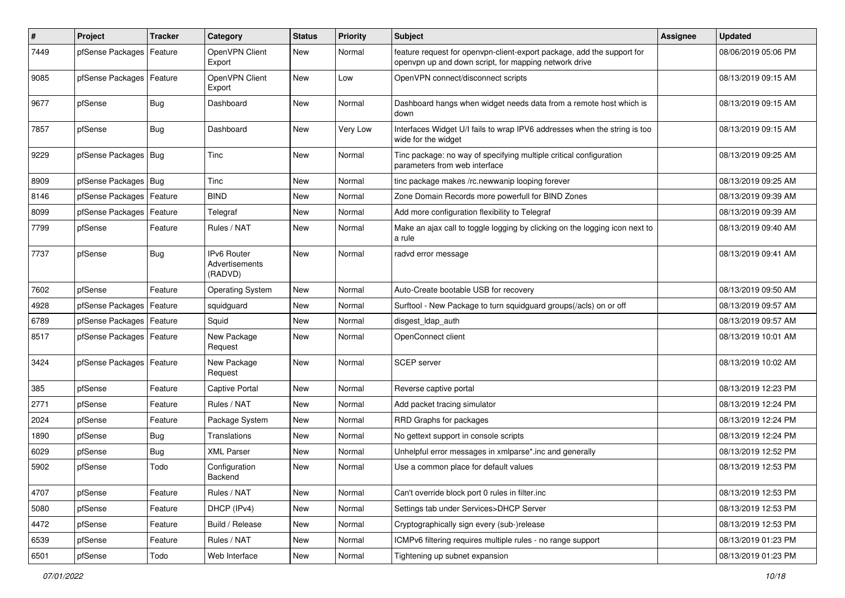| $\pmb{\#}$ | Project                    | <b>Tracker</b> | Category                                        | <b>Status</b> | <b>Priority</b> | <b>Subject</b>                                                                                                                  | <b>Assignee</b> | <b>Updated</b>      |
|------------|----------------------------|----------------|-------------------------------------------------|---------------|-----------------|---------------------------------------------------------------------------------------------------------------------------------|-----------------|---------------------|
| 7449       | pfSense Packages           | Feature        | OpenVPN Client<br>Export                        | New           | Normal          | feature request for openvpn-client-export package, add the support for<br>openvpn up and down script, for mapping network drive |                 | 08/06/2019 05:06 PM |
| 9085       | pfSense Packages           | Feature        | OpenVPN Client<br>Export                        | <b>New</b>    | Low             | OpenVPN connect/disconnect scripts                                                                                              |                 | 08/13/2019 09:15 AM |
| 9677       | pfSense                    | <b>Bug</b>     | Dashboard                                       | <b>New</b>    | Normal          | Dashboard hangs when widget needs data from a remote host which is<br>down                                                      |                 | 08/13/2019 09:15 AM |
| 7857       | pfSense                    | Bug            | Dashboard                                       | New           | Very Low        | Interfaces Widget U/I fails to wrap IPV6 addresses when the string is too<br>wide for the widget                                |                 | 08/13/2019 09:15 AM |
| 9229       | pfSense Packages   Bug     |                | Tinc                                            | <b>New</b>    | Normal          | Tinc package: no way of specifying multiple critical configuration<br>parameters from web interface                             |                 | 08/13/2019 09:25 AM |
| 8909       | pfSense Packages   Bug     |                | Tinc                                            | New           | Normal          | tinc package makes /rc.newwanip looping forever                                                                                 |                 | 08/13/2019 09:25 AM |
| 8146       | pfSense Packages           | Feature        | <b>BIND</b>                                     | New           | Normal          | Zone Domain Records more powerfull for BIND Zones                                                                               |                 | 08/13/2019 09:39 AM |
| 8099       | pfSense Packages           | Feature        | Telegraf                                        | <b>New</b>    | Normal          | Add more configuration flexibility to Telegraf                                                                                  |                 | 08/13/2019 09:39 AM |
| 7799       | pfSense                    | Feature        | Rules / NAT                                     | New           | Normal          | Make an ajax call to toggle logging by clicking on the logging icon next to<br>a rule                                           |                 | 08/13/2019 09:40 AM |
| 7737       | pfSense                    | Bug            | <b>IPv6 Router</b><br>Advertisements<br>(RADVD) | New           | Normal          | radvd error message                                                                                                             |                 | 08/13/2019 09:41 AM |
| 7602       | pfSense                    | Feature        | <b>Operating System</b>                         | <b>New</b>    | Normal          | Auto-Create bootable USB for recovery                                                                                           |                 | 08/13/2019 09:50 AM |
| 4928       | pfSense Packages           | Feature        | squidguard                                      | New           | Normal          | Surftool - New Package to turn squidguard groups(/acls) on or off                                                               |                 | 08/13/2019 09:57 AM |
| 6789       | pfSense Packages           | Feature        | Squid                                           | <b>New</b>    | Normal          | disgest_ldap_auth                                                                                                               |                 | 08/13/2019 09:57 AM |
| 8517       | pfSense Packages   Feature |                | New Package<br>Request                          | New           | Normal          | OpenConnect client                                                                                                              |                 | 08/13/2019 10:01 AM |
| 3424       | pfSense Packages   Feature |                | New Package<br>Request                          | New           | Normal          | SCEP server                                                                                                                     |                 | 08/13/2019 10:02 AM |
| 385        | pfSense                    | Feature        | Captive Portal                                  | <b>New</b>    | Normal          | Reverse captive portal                                                                                                          |                 | 08/13/2019 12:23 PM |
| 2771       | pfSense                    | Feature        | Rules / NAT                                     | New           | Normal          | Add packet tracing simulator                                                                                                    |                 | 08/13/2019 12:24 PM |
| 2024       | pfSense                    | Feature        | Package System                                  | New           | Normal          | RRD Graphs for packages                                                                                                         |                 | 08/13/2019 12:24 PM |
| 1890       | pfSense                    | <b>Bug</b>     | Translations                                    | <b>New</b>    | Normal          | No gettext support in console scripts                                                                                           |                 | 08/13/2019 12:24 PM |
| 6029       | pfSense                    | Bug            | XML Parser                                      | New           | Normal          | Unhelpful error messages in xmlparse*.inc and generally                                                                         |                 | 08/13/2019 12:52 PM |
| 5902       | pfSense                    | Todo           | Configuration<br>Backend                        | New           | Normal          | Use a common place for default values                                                                                           |                 | 08/13/2019 12:53 PM |
| 4707       | pfSense                    | Feature        | Rules / NAT                                     | New           | Normal          | Can't override block port 0 rules in filter.inc                                                                                 |                 | 08/13/2019 12:53 PM |
| 5080       | pfSense                    | Feature        | DHCP (IPv4)                                     | New           | Normal          | Settings tab under Services>DHCP Server                                                                                         |                 | 08/13/2019 12:53 PM |
| 4472       | pfSense                    | Feature        | Build / Release                                 | New           | Normal          | Cryptographically sign every (sub-)release                                                                                      |                 | 08/13/2019 12:53 PM |
| 6539       | pfSense                    | Feature        | Rules / NAT                                     | New           | Normal          | ICMPv6 filtering requires multiple rules - no range support                                                                     |                 | 08/13/2019 01:23 PM |
| 6501       | pfSense                    | Todo           | Web Interface                                   | New           | Normal          | Tightening up subnet expansion                                                                                                  |                 | 08/13/2019 01:23 PM |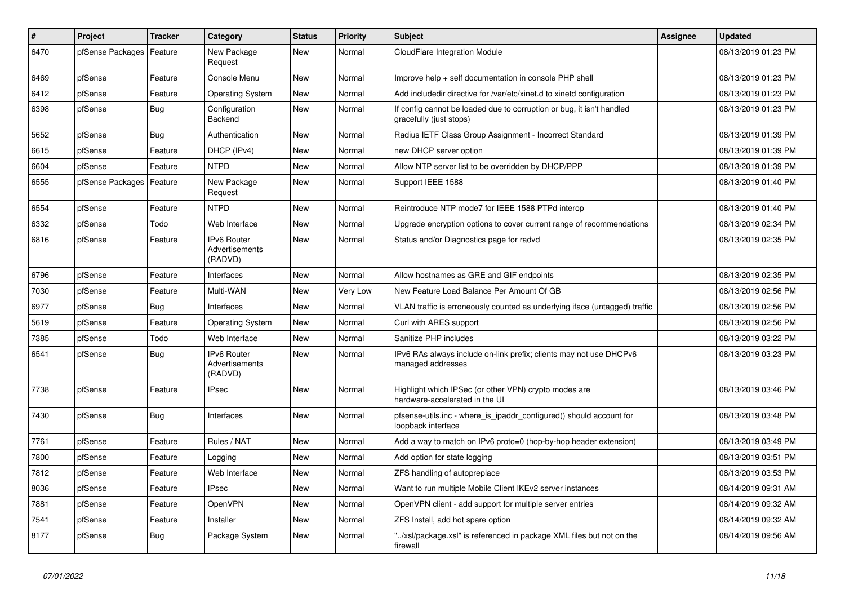| $\sharp$ | <b>Project</b>   | <b>Tracker</b> | Category                                        | <b>Status</b> | <b>Priority</b> | <b>Subject</b>                                                                                   | <b>Assignee</b> | <b>Updated</b>      |
|----------|------------------|----------------|-------------------------------------------------|---------------|-----------------|--------------------------------------------------------------------------------------------------|-----------------|---------------------|
| 6470     | pfSense Packages | Feature        | New Package<br>Request                          | <b>New</b>    | Normal          | CloudFlare Integration Module                                                                    |                 | 08/13/2019 01:23 PM |
| 6469     | pfSense          | Feature        | Console Menu                                    | <b>New</b>    | Normal          | Improve help + self documentation in console PHP shell                                           |                 | 08/13/2019 01:23 PM |
| 6412     | pfSense          | Feature        | <b>Operating System</b>                         | <b>New</b>    | Normal          | Add includedir directive for /var/etc/xinet.d to xinetd configuration                            |                 | 08/13/2019 01:23 PM |
| 6398     | pfSense          | Bug            | Configuration<br>Backend                        | <b>New</b>    | Normal          | If config cannot be loaded due to corruption or bug, it isn't handled<br>gracefully (just stops) |                 | 08/13/2019 01:23 PM |
| 5652     | pfSense          | <b>Bug</b>     | Authentication                                  | <b>New</b>    | Normal          | Radius IETF Class Group Assignment - Incorrect Standard                                          |                 | 08/13/2019 01:39 PM |
| 6615     | pfSense          | Feature        | DHCP (IPv4)                                     | <b>New</b>    | Normal          | new DHCP server option                                                                           |                 | 08/13/2019 01:39 PM |
| 6604     | pfSense          | Feature        | <b>NTPD</b>                                     | <b>New</b>    | Normal          | Allow NTP server list to be overridden by DHCP/PPP                                               |                 | 08/13/2019 01:39 PM |
| 6555     | pfSense Packages | Feature        | New Package<br>Request                          | <b>New</b>    | Normal          | Support IEEE 1588                                                                                |                 | 08/13/2019 01:40 PM |
| 6554     | pfSense          | Feature        | <b>NTPD</b>                                     | <b>New</b>    | Normal          | Reintroduce NTP mode7 for IEEE 1588 PTPd interop                                                 |                 | 08/13/2019 01:40 PM |
| 6332     | pfSense          | Todo           | Web Interface                                   | <b>New</b>    | Normal          | Upgrade encryption options to cover current range of recommendations                             |                 | 08/13/2019 02:34 PM |
| 6816     | pfSense          | Feature        | <b>IPv6 Router</b><br>Advertisements<br>(RADVD) | <b>New</b>    | Normal          | Status and/or Diagnostics page for radvd                                                         |                 | 08/13/2019 02:35 PM |
| 6796     | pfSense          | Feature        | Interfaces                                      | <b>New</b>    | Normal          | Allow hostnames as GRE and GIF endpoints                                                         |                 | 08/13/2019 02:35 PM |
| 7030     | pfSense          | Feature        | Multi-WAN                                       | <b>New</b>    | Very Low        | New Feature Load Balance Per Amount Of GB                                                        |                 | 08/13/2019 02:56 PM |
| 6977     | pfSense          | <b>Bug</b>     | Interfaces                                      | <b>New</b>    | Normal          | VLAN traffic is erroneously counted as underlying iface (untagged) traffic                       |                 | 08/13/2019 02:56 PM |
| 5619     | pfSense          | Feature        | <b>Operating System</b>                         | <b>New</b>    | Normal          | Curl with ARES support                                                                           |                 | 08/13/2019 02:56 PM |
| 7385     | pfSense          | Todo           | Web Interface                                   | <b>New</b>    | Normal          | Sanitize PHP includes                                                                            |                 | 08/13/2019 03:22 PM |
| 6541     | pfSense          | Bug            | <b>IPv6 Router</b><br>Advertisements<br>(RADVD) | <b>New</b>    | Normal          | IPv6 RAs always include on-link prefix; clients may not use DHCPv6<br>managed addresses          |                 | 08/13/2019 03:23 PM |
| 7738     | pfSense          | Feature        | <b>IPsec</b>                                    | <b>New</b>    | Normal          | Highlight which IPSec (or other VPN) crypto modes are<br>hardware-accelerated in the UI          |                 | 08/13/2019 03:46 PM |
| 7430     | pfSense          | Bug            | Interfaces                                      | <b>New</b>    | Normal          | pfsense-utils.inc - where_is_ipaddr_configured() should account for<br>loopback interface        |                 | 08/13/2019 03:48 PM |
| 7761     | pfSense          | Feature        | Rules / NAT                                     | New           | Normal          | Add a way to match on IPv6 proto=0 (hop-by-hop header extension)                                 |                 | 08/13/2019 03:49 PM |
| 7800     | pfSense          | Feature        | Logging                                         | New           | Normal          | Add option for state logging                                                                     |                 | 08/13/2019 03:51 PM |
| 7812     | pfSense          | Feature        | Web Interface                                   | <b>New</b>    | Normal          | ZFS handling of autopreplace                                                                     |                 | 08/13/2019 03:53 PM |
| 8036     | pfSense          | Feature        | <b>IPsec</b>                                    | <b>New</b>    | Normal          | Want to run multiple Mobile Client IKEv2 server instances                                        |                 | 08/14/2019 09:31 AM |
| 7881     | pfSense          | Feature        | <b>OpenVPN</b>                                  | <b>New</b>    | Normal          | OpenVPN client - add support for multiple server entries                                         |                 | 08/14/2019 09:32 AM |
| 7541     | pfSense          | Feature        | Installer                                       | <b>New</b>    | Normal          | ZFS Install, add hot spare option                                                                |                 | 08/14/2019 09:32 AM |
| 8177     | pfSense          | Bug            | Package System                                  | <b>New</b>    | Normal          | '/xsl/package.xsl" is referenced in package XML files but not on the<br>firewall                 |                 | 08/14/2019 09:56 AM |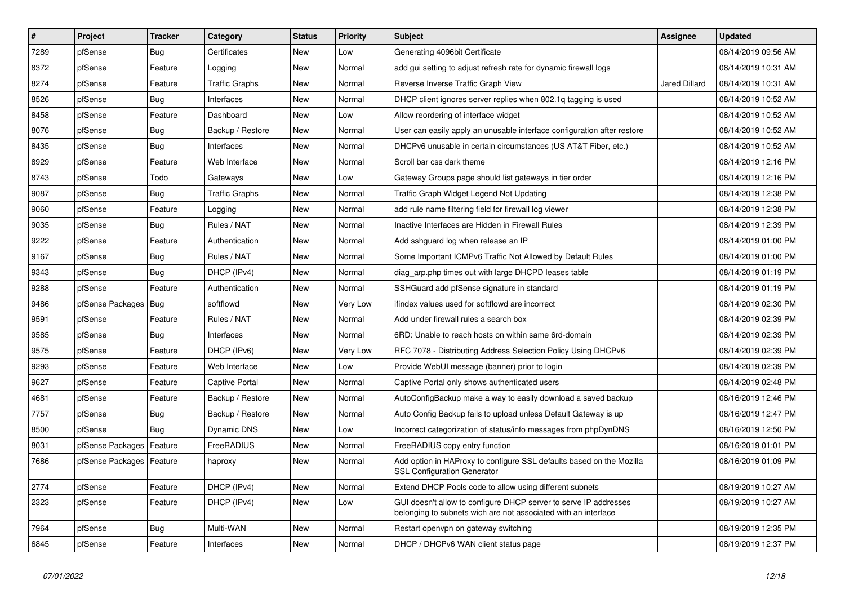| $\sharp$ | Project                    | <b>Tracker</b> | Category              | <b>Status</b> | Priority | <b>Subject</b>                                                                                                                     | Assignee             | <b>Updated</b>      |
|----------|----------------------------|----------------|-----------------------|---------------|----------|------------------------------------------------------------------------------------------------------------------------------------|----------------------|---------------------|
| 7289     | pfSense                    | Bug            | Certificates          | <b>New</b>    | Low      | Generating 4096bit Certificate                                                                                                     |                      | 08/14/2019 09:56 AM |
| 8372     | pfSense                    | Feature        | Logging               | <b>New</b>    | Normal   | add gui setting to adjust refresh rate for dynamic firewall logs                                                                   |                      | 08/14/2019 10:31 AM |
| 8274     | pfSense                    | Feature        | Traffic Graphs        | New           | Normal   | Reverse Inverse Traffic Graph View                                                                                                 | <b>Jared Dillard</b> | 08/14/2019 10:31 AM |
| 8526     | pfSense                    | <b>Bug</b>     | Interfaces            | <b>New</b>    | Normal   | DHCP client ignores server replies when 802.1q tagging is used                                                                     |                      | 08/14/2019 10:52 AM |
| 8458     | pfSense                    | Feature        | Dashboard             | <b>New</b>    | Low      | Allow reordering of interface widget                                                                                               |                      | 08/14/2019 10:52 AM |
| 8076     | pfSense                    | <b>Bug</b>     | Backup / Restore      | <b>New</b>    | Normal   | User can easily apply an unusable interface configuration after restore                                                            |                      | 08/14/2019 10:52 AM |
| 8435     | pfSense                    | <b>Bug</b>     | Interfaces            | <b>New</b>    | Normal   | DHCPv6 unusable in certain circumstances (US AT&T Fiber, etc.)                                                                     |                      | 08/14/2019 10:52 AM |
| 8929     | pfSense                    | Feature        | Web Interface         | New           | Normal   | Scroll bar css dark theme                                                                                                          |                      | 08/14/2019 12:16 PM |
| 8743     | pfSense                    | Todo           | Gateways              | New           | Low      | Gateway Groups page should list gateways in tier order                                                                             |                      | 08/14/2019 12:16 PM |
| 9087     | pfSense                    | Bug            | <b>Traffic Graphs</b> | New           | Normal   | Traffic Graph Widget Legend Not Updating                                                                                           |                      | 08/14/2019 12:38 PM |
| 9060     | pfSense                    | Feature        | Logging               | New           | Normal   | add rule name filtering field for firewall log viewer                                                                              |                      | 08/14/2019 12:38 PM |
| 9035     | pfSense                    | Bug            | Rules / NAT           | New           | Normal   | Inactive Interfaces are Hidden in Firewall Rules                                                                                   |                      | 08/14/2019 12:39 PM |
| 9222     | pfSense                    | Feature        | Authentication        | <b>New</b>    | Normal   | Add sshguard log when release an IP                                                                                                |                      | 08/14/2019 01:00 PM |
| 9167     | pfSense                    | <b>Bug</b>     | Rules / NAT           | <b>New</b>    | Normal   | Some Important ICMPv6 Traffic Not Allowed by Default Rules                                                                         |                      | 08/14/2019 01:00 PM |
| 9343     | pfSense                    | Bug            | DHCP (IPv4)           | <b>New</b>    | Normal   | diag_arp.php times out with large DHCPD leases table                                                                               |                      | 08/14/2019 01:19 PM |
| 9288     | pfSense                    | Feature        | Authentication        | <b>New</b>    | Normal   | SSHGuard add pfSense signature in standard                                                                                         |                      | 08/14/2019 01:19 PM |
| 9486     | pfSense Packages           | Bug            | softflowd             | <b>New</b>    | Very Low | ifindex values used for softflowd are incorrect                                                                                    |                      | 08/14/2019 02:30 PM |
| 9591     | pfSense                    | Feature        | Rules / NAT           | <b>New</b>    | Normal   | Add under firewall rules a search box                                                                                              |                      | 08/14/2019 02:39 PM |
| 9585     | pfSense                    | Bug            | Interfaces            | <b>New</b>    | Normal   | 6RD: Unable to reach hosts on within same 6rd-domain                                                                               |                      | 08/14/2019 02:39 PM |
| 9575     | pfSense                    | Feature        | DHCP (IPv6)           | New           | Very Low | RFC 7078 - Distributing Address Selection Policy Using DHCPv6                                                                      |                      | 08/14/2019 02:39 PM |
| 9293     | pfSense                    | Feature        | Web Interface         | <b>New</b>    | Low      | Provide WebUI message (banner) prior to login                                                                                      |                      | 08/14/2019 02:39 PM |
| 9627     | pfSense                    | Feature        | <b>Captive Portal</b> | <b>New</b>    | Normal   | Captive Portal only shows authenticated users                                                                                      |                      | 08/14/2019 02:48 PM |
| 4681     | pfSense                    | Feature        | Backup / Restore      | <b>New</b>    | Normal   | AutoConfigBackup make a way to easily download a saved backup                                                                      |                      | 08/16/2019 12:46 PM |
| 7757     | pfSense                    | Bug            | Backup / Restore      | New           | Normal   | Auto Config Backup fails to upload unless Default Gateway is up                                                                    |                      | 08/16/2019 12:47 PM |
| 8500     | pfSense                    | <b>Bug</b>     | Dynamic DNS           | <b>New</b>    | Low      | Incorrect categorization of status/info messages from phpDynDNS                                                                    |                      | 08/16/2019 12:50 PM |
| 8031     | pfSense Packages           | Feature        | FreeRADIUS            | <b>New</b>    | Normal   | FreeRADIUS copy entry function                                                                                                     |                      | 08/16/2019 01:01 PM |
| 7686     | pfSense Packages   Feature |                | haproxy               | <b>New</b>    | Normal   | Add option in HAProxy to configure SSL defaults based on the Mozilla<br><b>SSL Configuration Generator</b>                         |                      | 08/16/2019 01:09 PM |
| 2774     | pfSense                    | Feature        | DHCP (IPv4)           | <b>New</b>    | Normal   | Extend DHCP Pools code to allow using different subnets                                                                            |                      | 08/19/2019 10:27 AM |
| 2323     | pfSense                    | Feature        | DHCP (IPv4)           | <b>New</b>    | Low      | GUI doesn't allow to configure DHCP server to serve IP addresses<br>belonging to subnets wich are not associated with an interface |                      | 08/19/2019 10:27 AM |
| 7964     | pfSense                    | <b>Bug</b>     | Multi-WAN             | <b>New</b>    | Normal   | Restart openvpn on gateway switching                                                                                               |                      | 08/19/2019 12:35 PM |
| 6845     | pfSense                    | Feature        | Interfaces            | <b>New</b>    | Normal   | DHCP / DHCPv6 WAN client status page                                                                                               |                      | 08/19/2019 12:37 PM |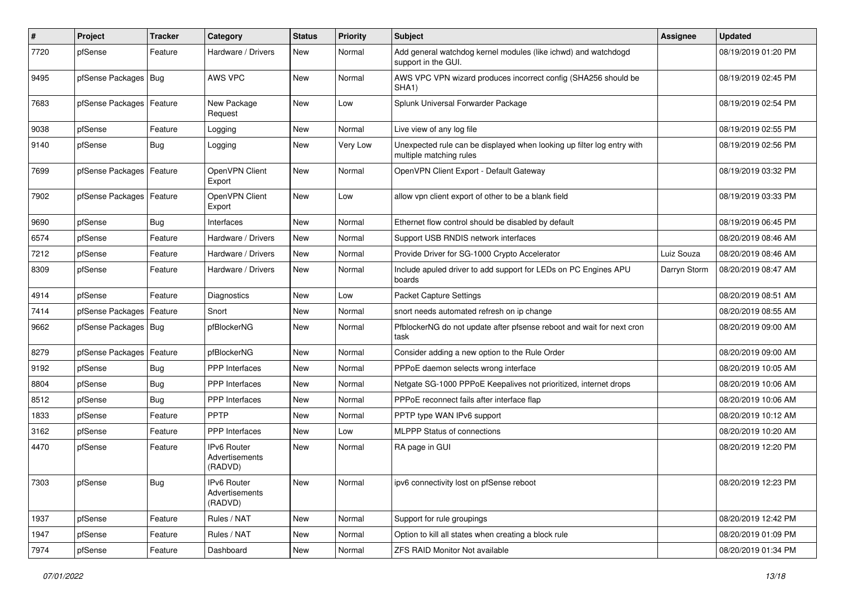| ∦    | Project                    | <b>Tracker</b> | Category                                 | <b>Status</b> | <b>Priority</b> | <b>Subject</b>                                                                                    | Assignee     | <b>Updated</b>      |
|------|----------------------------|----------------|------------------------------------------|---------------|-----------------|---------------------------------------------------------------------------------------------------|--------------|---------------------|
| 7720 | pfSense                    | Feature        | Hardware / Drivers                       | New           | Normal          | Add general watchdog kernel modules (like ichwd) and watchdogd<br>support in the GUI.             |              | 08/19/2019 01:20 PM |
| 9495 | pfSense Packages           | Bug            | AWS VPC                                  | <b>New</b>    | Normal          | AWS VPC VPN wizard produces incorrect config (SHA256 should be<br>SHA <sub>1</sub> )              |              | 08/19/2019 02:45 PM |
| 7683 | pfSense Packages   Feature |                | New Package<br>Request                   | <b>New</b>    | Low             | Splunk Universal Forwarder Package                                                                |              | 08/19/2019 02:54 PM |
| 9038 | pfSense                    | Feature        | Logging                                  | <b>New</b>    | Normal          | Live view of any log file                                                                         |              | 08/19/2019 02:55 PM |
| 9140 | pfSense                    | Bug            | Logging                                  | <b>New</b>    | Very Low        | Unexpected rule can be displayed when looking up filter log entry with<br>multiple matching rules |              | 08/19/2019 02:56 PM |
| 7699 | pfSense Packages           | Feature        | OpenVPN Client<br>Export                 | <b>New</b>    | Normal          | OpenVPN Client Export - Default Gateway                                                           |              | 08/19/2019 03:32 PM |
| 7902 | pfSense Packages   Feature |                | OpenVPN Client<br>Export                 | <b>New</b>    | Low             | allow vpn client export of other to be a blank field                                              |              | 08/19/2019 03:33 PM |
| 9690 | pfSense                    | <b>Bug</b>     | Interfaces                               | <b>New</b>    | Normal          | Ethernet flow control should be disabled by default                                               |              | 08/19/2019 06:45 PM |
| 6574 | pfSense                    | Feature        | Hardware / Drivers                       | <b>New</b>    | Normal          | Support USB RNDIS network interfaces                                                              |              | 08/20/2019 08:46 AM |
| 7212 | pfSense                    | Feature        | Hardware / Drivers                       | New           | Normal          | Provide Driver for SG-1000 Crypto Accelerator                                                     | Luiz Souza   | 08/20/2019 08:46 AM |
| 8309 | pfSense                    | Feature        | Hardware / Drivers                       | <b>New</b>    | Normal          | Include apuled driver to add support for LEDs on PC Engines APU<br>boards                         | Darryn Storm | 08/20/2019 08:47 AM |
| 4914 | pfSense                    | Feature        | Diagnostics                              | New           | Low             | <b>Packet Capture Settings</b>                                                                    |              | 08/20/2019 08:51 AM |
| 7414 | pfSense Packages           | Feature        | Snort                                    | <b>New</b>    | Normal          | snort needs automated refresh on ip change                                                        |              | 08/20/2019 08:55 AM |
| 9662 | pfSense Packages   Bug     |                | pfBlockerNG                              | <b>New</b>    | Normal          | PfblockerNG do not update after pfsense reboot and wait for next cron<br>task                     |              | 08/20/2019 09:00 AM |
| 8279 | pfSense Packages           | Feature        | pfBlockerNG                              | <b>New</b>    | Normal          | Consider adding a new option to the Rule Order                                                    |              | 08/20/2019 09:00 AM |
| 9192 | pfSense                    | Bug            | PPP Interfaces                           | <b>New</b>    | Normal          | PPPoE daemon selects wrong interface                                                              |              | 08/20/2019 10:05 AM |
| 8804 | pfSense                    | Bug            | <b>PPP</b> Interfaces                    | New           | Normal          | Netgate SG-1000 PPPoE Keepalives not prioritized, internet drops                                  |              | 08/20/2019 10:06 AM |
| 8512 | pfSense                    | Bug            | PPP Interfaces                           | New           | Normal          | PPPoE reconnect fails after interface flap                                                        |              | 08/20/2019 10:06 AM |
| 1833 | pfSense                    | Feature        | PPTP                                     | New           | Normal          | PPTP type WAN IPv6 support                                                                        |              | 08/20/2019 10:12 AM |
| 3162 | pfSense                    | Feature        | <b>PPP</b> Interfaces                    | <b>New</b>    | Low             | <b>MLPPP Status of connections</b>                                                                |              | 08/20/2019 10:20 AM |
| 4470 | pfSense                    | Feature        | IPv6 Router<br>Advertisements<br>(RADVD) | <b>New</b>    | Normal          | RA page in GUI                                                                                    |              | 08/20/2019 12:20 PM |
| 7303 | pfSense                    | <b>Bug</b>     | IPv6 Router<br>Advertisements<br>(RADVD) | New           | Normal          | ipv6 connectivity lost on pfSense reboot                                                          |              | 08/20/2019 12:23 PM |
| 1937 | pfSense                    | Feature        | Rules / NAT                              | New           | Normal          | Support for rule groupings                                                                        |              | 08/20/2019 12:42 PM |
| 1947 | pfSense                    | Feature        | Rules / NAT                              | New           | Normal          | Option to kill all states when creating a block rule                                              |              | 08/20/2019 01:09 PM |
| 7974 | pfSense                    | Feature        | Dashboard                                | New           | Normal          | <b>ZFS RAID Monitor Not available</b>                                                             |              | 08/20/2019 01:34 PM |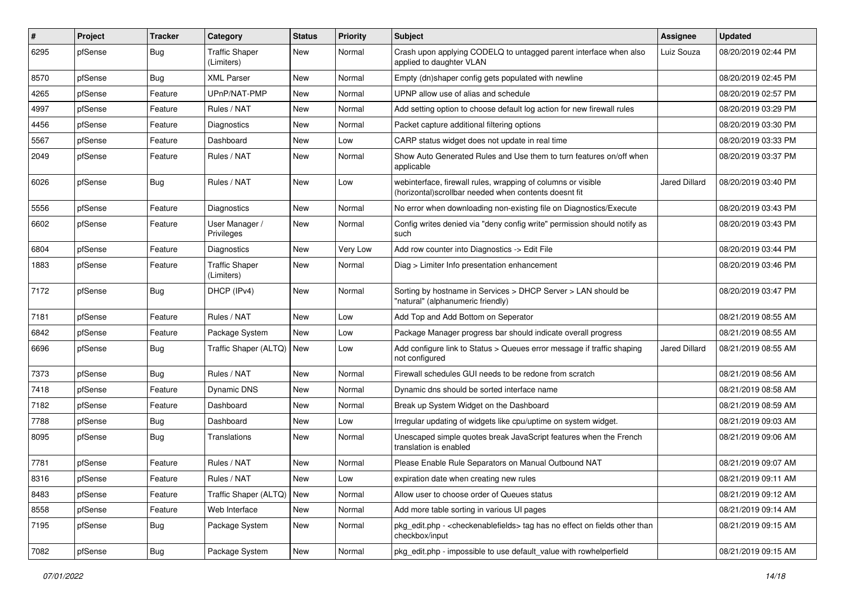| #    | Project | <b>Tracker</b> | Category                            | <b>Status</b> | <b>Priority</b> | <b>Subject</b>                                                                                                         | Assignee      | <b>Updated</b>      |
|------|---------|----------------|-------------------------------------|---------------|-----------------|------------------------------------------------------------------------------------------------------------------------|---------------|---------------------|
| 6295 | pfSense | Bug            | <b>Traffic Shaper</b><br>(Limiters) | <b>New</b>    | Normal          | Crash upon applying CODELQ to untagged parent interface when also<br>applied to daughter VLAN                          | Luiz Souza    | 08/20/2019 02:44 PM |
| 8570 | pfSense | Bug            | <b>XML Parser</b>                   | <b>New</b>    | Normal          | Empty (dn)shaper config gets populated with newline                                                                    |               | 08/20/2019 02:45 PM |
| 4265 | pfSense | Feature        | UPnP/NAT-PMP                        | <b>New</b>    | Normal          | UPNP allow use of alias and schedule                                                                                   |               | 08/20/2019 02:57 PM |
| 4997 | pfSense | Feature        | Rules / NAT                         | New           | Normal          | Add setting option to choose default log action for new firewall rules                                                 |               | 08/20/2019 03:29 PM |
| 4456 | pfSense | Feature        | Diagnostics                         | <b>New</b>    | Normal          | Packet capture additional filtering options                                                                            |               | 08/20/2019 03:30 PM |
| 5567 | pfSense | Feature        | Dashboard                           | <b>New</b>    | Low             | CARP status widget does not update in real time                                                                        |               | 08/20/2019 03:33 PM |
| 2049 | pfSense | Feature        | Rules / NAT                         | New           | Normal          | Show Auto Generated Rules and Use them to turn features on/off when<br>applicable                                      |               | 08/20/2019 03:37 PM |
| 6026 | pfSense | Bug            | Rules / NAT                         | New           | Low             | webinterface, firewall rules, wrapping of columns or visible<br>(horizontal) scrollbar needed when contents doesnt fit | Jared Dillard | 08/20/2019 03:40 PM |
| 5556 | pfSense | Feature        | Diagnostics                         | <b>New</b>    | Normal          | No error when downloading non-existing file on Diagnostics/Execute                                                     |               | 08/20/2019 03:43 PM |
| 6602 | pfSense | Feature        | User Manager /<br>Privileges        | <b>New</b>    | Normal          | Config writes denied via "deny config write" permission should notify as<br>such                                       |               | 08/20/2019 03:43 PM |
| 6804 | pfSense | Feature        | Diagnostics                         | New           | Very Low        | Add row counter into Diagnostics -> Edit File                                                                          |               | 08/20/2019 03:44 PM |
| 1883 | pfSense | Feature        | <b>Traffic Shaper</b><br>(Limiters) | New           | Normal          | Diag > Limiter Info presentation enhancement                                                                           |               | 08/20/2019 03:46 PM |
| 7172 | pfSense | Bug            | DHCP (IPv4)                         | New           | Normal          | Sorting by hostname in Services > DHCP Server > LAN should be<br>"natural" (alphanumeric friendly)                     |               | 08/20/2019 03:47 PM |
| 7181 | pfSense | Feature        | Rules / NAT                         | <b>New</b>    | Low             | Add Top and Add Bottom on Seperator                                                                                    |               | 08/21/2019 08:55 AM |
| 6842 | pfSense | Feature        | Package System                      | <b>New</b>    | Low             | Package Manager progress bar should indicate overall progress                                                          |               | 08/21/2019 08:55 AM |
| 6696 | pfSense | Bug            | Traffic Shaper (ALTQ)               | <b>New</b>    | Low             | Add configure link to Status > Queues error message if traffic shaping<br>not configured                               | Jared Dillard | 08/21/2019 08:55 AM |
| 7373 | pfSense | <b>Bug</b>     | Rules / NAT                         | <b>New</b>    | Normal          | Firewall schedules GUI needs to be redone from scratch                                                                 |               | 08/21/2019 08:56 AM |
| 7418 | pfSense | Feature        | Dynamic DNS                         | <b>New</b>    | Normal          | Dynamic dns should be sorted interface name                                                                            |               | 08/21/2019 08:58 AM |
| 7182 | pfSense | Feature        | Dashboard                           | New           | Normal          | Break up System Widget on the Dashboard                                                                                |               | 08/21/2019 08:59 AM |
| 7788 | pfSense | <b>Bug</b>     | Dashboard                           | <b>New</b>    | Low             | Irregular updating of widgets like cpu/uptime on system widget.                                                        |               | 08/21/2019 09:03 AM |
| 8095 | pfSense | <b>Bug</b>     | Translations                        | New           | Normal          | Unescaped simple quotes break JavaScript features when the French<br>translation is enabled                            |               | 08/21/2019 09:06 AM |
| 7781 | pfSense | Feature        | Rules / NAT                         | <b>New</b>    | Normal          | Please Enable Rule Separators on Manual Outbound NAT                                                                   |               | 08/21/2019 09:07 AM |
| 8316 | pfSense | Feature        | Rules / NAT                         | New           | LOW             | expiration date when creating new rules                                                                                |               | 08/21/2019 09:11 AM |
| 8483 | pfSense | Feature        | Traffic Shaper (ALTQ)               | New           | Normal          | Allow user to choose order of Queues status                                                                            |               | 08/21/2019 09:12 AM |
| 8558 | pfSense | Feature        | Web Interface                       | New           | Normal          | Add more table sorting in various UI pages                                                                             |               | 08/21/2019 09:14 AM |
| 7195 | pfSense | <b>Bug</b>     | Package System                      | New           | Normal          | pkg edit.php - < checkenable fields > tag has no effect on fields other than<br>checkbox/input                         |               | 08/21/2019 09:15 AM |
| 7082 | pfSense | Bug            | Package System                      | New           | Normal          | pkg edit.php - impossible to use default value with rowhelperfield                                                     |               | 08/21/2019 09:15 AM |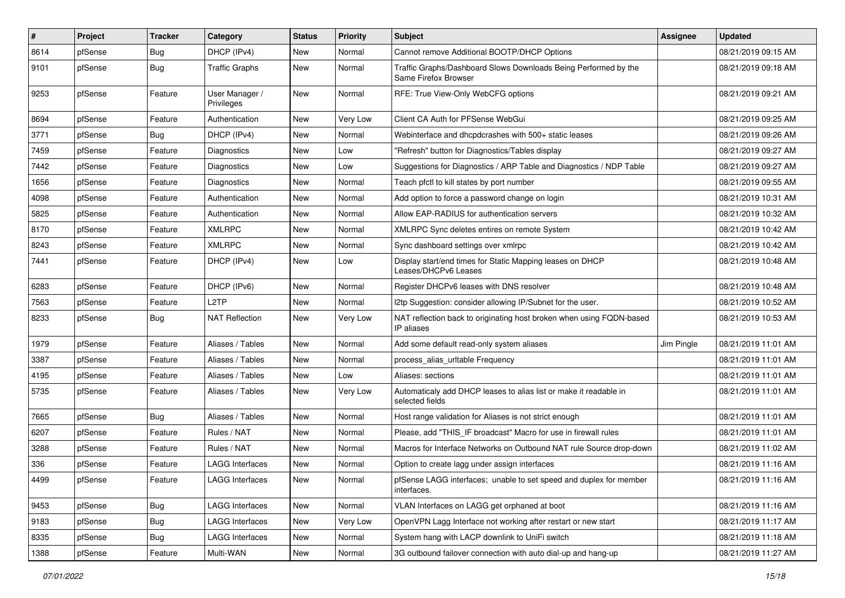| #    | Project | <b>Tracker</b> | Category                     | <b>Status</b> | <b>Priority</b> | <b>Subject</b>                                                                          | Assignee   | <b>Updated</b>      |
|------|---------|----------------|------------------------------|---------------|-----------------|-----------------------------------------------------------------------------------------|------------|---------------------|
| 8614 | pfSense | <b>Bug</b>     | DHCP (IPv4)                  | <b>New</b>    | Normal          | Cannot remove Additional BOOTP/DHCP Options                                             |            | 08/21/2019 09:15 AM |
| 9101 | pfSense | Bug            | Traffic Graphs               | <b>New</b>    | Normal          | Traffic Graphs/Dashboard Slows Downloads Being Performed by the<br>Same Firefox Browser |            | 08/21/2019 09:18 AM |
| 9253 | pfSense | Feature        | User Manager /<br>Privileges | <b>New</b>    | Normal          | RFE: True View-Only WebCFG options                                                      |            | 08/21/2019 09:21 AM |
| 8694 | pfSense | Feature        | Authentication               | New           | Very Low        | Client CA Auth for PFSense WebGui                                                       |            | 08/21/2019 09:25 AM |
| 3771 | pfSense | Bug            | DHCP (IPv4)                  | <b>New</b>    | Normal          | Webinterface and dhcpdcrashes with 500+ static leases                                   |            | 08/21/2019 09:26 AM |
| 7459 | pfSense | Feature        | Diagnostics                  | <b>New</b>    | Low             | 'Refresh" button for Diagnostics/Tables display                                         |            | 08/21/2019 09:27 AM |
| 7442 | pfSense | Feature        | <b>Diagnostics</b>           | New           | Low             | Suggestions for Diagnostics / ARP Table and Diagnostics / NDP Table                     |            | 08/21/2019 09:27 AM |
| 1656 | pfSense | Feature        | Diagnostics                  | <b>New</b>    | Normal          | Teach pfctl to kill states by port number                                               |            | 08/21/2019 09:55 AM |
| 4098 | pfSense | Feature        | Authentication               | <b>New</b>    | Normal          | Add option to force a password change on login                                          |            | 08/21/2019 10:31 AM |
| 5825 | pfSense | Feature        | Authentication               | <b>New</b>    | Normal          | Allow EAP-RADIUS for authentication servers                                             |            | 08/21/2019 10:32 AM |
| 8170 | pfSense | Feature        | <b>XMLRPC</b>                | <b>New</b>    | Normal          | XMLRPC Sync deletes entires on remote System                                            |            | 08/21/2019 10:42 AM |
| 8243 | pfSense | Feature        | <b>XMLRPC</b>                | <b>New</b>    | Normal          | Sync dashboard settings over xmlrpc                                                     |            | 08/21/2019 10:42 AM |
| 7441 | pfSense | Feature        | DHCP (IPv4)                  | <b>New</b>    | Low             | Display start/end times for Static Mapping leases on DHCP<br>Leases/DHCPv6 Leases       |            | 08/21/2019 10:48 AM |
| 6283 | pfSense | Feature        | DHCP (IPv6)                  | <b>New</b>    | Normal          | Register DHCPv6 leases with DNS resolver                                                |            | 08/21/2019 10:48 AM |
| 7563 | pfSense | Feature        | L <sub>2</sub> TP            | <b>New</b>    | Normal          | I2tp Suggestion: consider allowing IP/Subnet for the user.                              |            | 08/21/2019 10:52 AM |
| 8233 | pfSense | Bug            | <b>NAT Reflection</b>        | New           | Very Low        | NAT reflection back to originating host broken when using FQDN-based<br>IP aliases      |            | 08/21/2019 10:53 AM |
| 1979 | pfSense | Feature        | Aliases / Tables             | <b>New</b>    | Normal          | Add some default read-only system aliases                                               | Jim Pingle | 08/21/2019 11:01 AM |
| 3387 | pfSense | Feature        | Aliases / Tables             | <b>New</b>    | Normal          | process alias urltable Frequency                                                        |            | 08/21/2019 11:01 AM |
| 4195 | pfSense | Feature        | Aliases / Tables             | <b>New</b>    | Low             | Aliases: sections                                                                       |            | 08/21/2019 11:01 AM |
| 5735 | pfSense | Feature        | Aliases / Tables             | New           | Very Low        | Automaticaly add DHCP leases to alias list or make it readable in<br>selected fields    |            | 08/21/2019 11:01 AM |
| 7665 | pfSense | <b>Bug</b>     | Aliases / Tables             | <b>New</b>    | Normal          | Host range validation for Aliases is not strict enough                                  |            | 08/21/2019 11:01 AM |
| 6207 | pfSense | Feature        | Rules / NAT                  | <b>New</b>    | Normal          | Please, add "THIS_IF broadcast" Macro for use in firewall rules                         |            | 08/21/2019 11:01 AM |
| 3288 | pfSense | Feature        | Rules / NAT                  | <b>New</b>    | Normal          | Macros for Interface Networks on Outbound NAT rule Source drop-down                     |            | 08/21/2019 11:02 AM |
| 336  | pfSense | Feature        | <b>LAGG Interfaces</b>       | New           | Normal          | Option to create lagg under assign interfaces                                           |            | 08/21/2019 11:16 AM |
| 4499 | ptSense | Feature        | LAGG Interfaces              | New           | Normal          | pfSense LAGG interfaces; unable to set speed and duplex for member<br>interfaces.       |            | 08/21/2019 11:16 AM |
| 9453 | pfSense | <b>Bug</b>     | <b>LAGG Interfaces</b>       | New           | Normal          | VLAN Interfaces on LAGG get orphaned at boot                                            |            | 08/21/2019 11:16 AM |
| 9183 | pfSense | <b>Bug</b>     | LAGG Interfaces              | New           | Very Low        | OpenVPN Lagg Interface not working after restart or new start                           |            | 08/21/2019 11:17 AM |
| 8335 | pfSense | <b>Bug</b>     | LAGG Interfaces              | New           | Normal          | System hang with LACP downlink to UniFi switch                                          |            | 08/21/2019 11:18 AM |
| 1388 | pfSense | Feature        | Multi-WAN                    | New           | Normal          | 3G outbound failover connection with auto dial-up and hang-up                           |            | 08/21/2019 11:27 AM |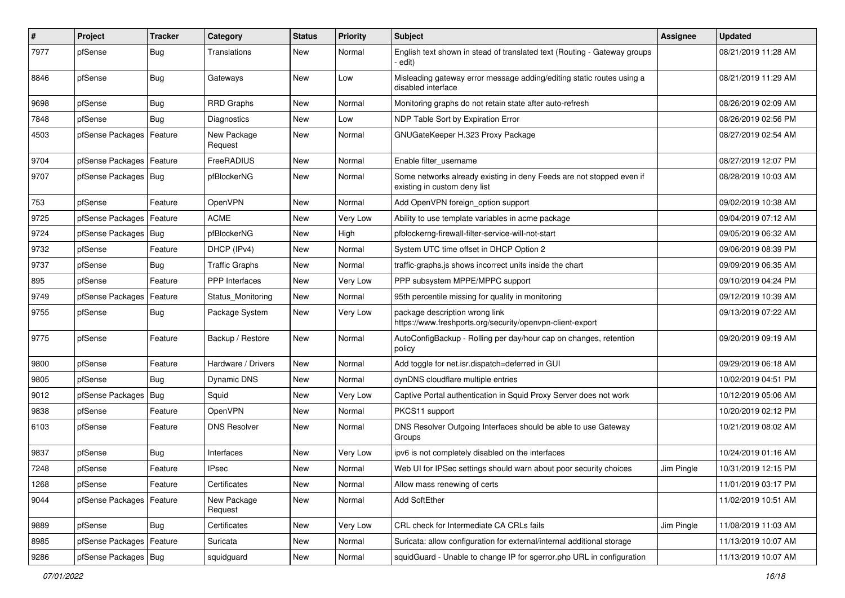| $\pmb{\#}$ | Project                | <b>Tracker</b> | Category               | <b>Status</b> | <b>Priority</b> | <b>Subject</b>                                                                                       | <b>Assignee</b> | <b>Updated</b>      |
|------------|------------------------|----------------|------------------------|---------------|-----------------|------------------------------------------------------------------------------------------------------|-----------------|---------------------|
| 7977       | pfSense                | <b>Bug</b>     | Translations           | New           | Normal          | English text shown in stead of translated text (Routing - Gateway groups<br>· edit)                  |                 | 08/21/2019 11:28 AM |
| 8846       | pfSense                | <b>Bug</b>     | Gateways               | New           | Low             | Misleading gateway error message adding/editing static routes using a<br>disabled interface          |                 | 08/21/2019 11:29 AM |
| 9698       | pfSense                | <b>Bug</b>     | <b>RRD Graphs</b>      | <b>New</b>    | Normal          | Monitoring graphs do not retain state after auto-refresh                                             |                 | 08/26/2019 02:09 AM |
| 7848       | pfSense                | <b>Bug</b>     | <b>Diagnostics</b>     | New           | Low             | NDP Table Sort by Expiration Error                                                                   |                 | 08/26/2019 02:56 PM |
| 4503       | pfSense Packages       | Feature        | New Package<br>Request | New           | Normal          | GNUGateKeeper H.323 Proxy Package                                                                    |                 | 08/27/2019 02:54 AM |
| 9704       | pfSense Packages       | Feature        | FreeRADIUS             | <b>New</b>    | Normal          | Enable filter_username                                                                               |                 | 08/27/2019 12:07 PM |
| 9707       | pfSense Packages   Bug |                | pfBlockerNG            | <b>New</b>    | Normal          | Some networks already existing in deny Feeds are not stopped even if<br>existing in custom deny list |                 | 08/28/2019 10:03 AM |
| 753        | pfSense                | Feature        | OpenVPN                | <b>New</b>    | Normal          | Add OpenVPN foreign_option support                                                                   |                 | 09/02/2019 10:38 AM |
| 9725       | pfSense Packages       | Feature        | <b>ACME</b>            | <b>New</b>    | Very Low        | Ability to use template variables in acme package                                                    |                 | 09/04/2019 07:12 AM |
| 9724       | pfSense Packages       | <b>Bug</b>     | pfBlockerNG            | New           | High            | pfblockerng-firewall-filter-service-will-not-start                                                   |                 | 09/05/2019 06:32 AM |
| 9732       | pfSense                | Feature        | DHCP (IPv4)            | <b>New</b>    | Normal          | System UTC time offset in DHCP Option 2                                                              |                 | 09/06/2019 08:39 PM |
| 9737       | pfSense                | Bug            | <b>Traffic Graphs</b>  | New           | Normal          | traffic-graphs is shows incorrect units inside the chart                                             |                 | 09/09/2019 06:35 AM |
| 895        | pfSense                | Feature        | <b>PPP</b> Interfaces  | <b>New</b>    | Very Low        | PPP subsystem MPPE/MPPC support                                                                      |                 | 09/10/2019 04:24 PM |
| 9749       | pfSense Packages       | Feature        | Status Monitoring      | <b>New</b>    | Normal          | 95th percentile missing for quality in monitoring                                                    |                 | 09/12/2019 10:39 AM |
| 9755       | pfSense                | Bug            | Package System         | New           | Very Low        | package description wrong link<br>https://www.freshports.org/security/openvpn-client-export          |                 | 09/13/2019 07:22 AM |
| 9775       | pfSense                | Feature        | Backup / Restore       | <b>New</b>    | Normal          | AutoConfigBackup - Rolling per day/hour cap on changes, retention<br>policy                          |                 | 09/20/2019 09:19 AM |
| 9800       | pfSense                | Feature        | Hardware / Drivers     | <b>New</b>    | Normal          | Add toggle for net.isr.dispatch=deferred in GUI                                                      |                 | 09/29/2019 06:18 AM |
| 9805       | pfSense                | Bug            | Dynamic DNS            | New           | Normal          | dynDNS cloudflare multiple entries                                                                   |                 | 10/02/2019 04:51 PM |
| 9012       | pfSense Packages       | Bug            | Squid                  | New           | Very Low        | Captive Portal authentication in Squid Proxy Server does not work                                    |                 | 10/12/2019 05:06 AM |
| 9838       | pfSense                | Feature        | OpenVPN                | <b>New</b>    | Normal          | PKCS11 support                                                                                       |                 | 10/20/2019 02:12 PM |
| 6103       | pfSense                | Feature        | <b>DNS Resolver</b>    | New           | Normal          | DNS Resolver Outgoing Interfaces should be able to use Gateway<br>Groups                             |                 | 10/21/2019 08:02 AM |
| 9837       | pfSense                | <b>Bug</b>     | Interfaces             | <b>New</b>    | Very Low        | ipv6 is not completely disabled on the interfaces                                                    |                 | 10/24/2019 01:16 AM |
| 7248       | pfSense                | Feature        | <b>IPsec</b>           | New           | Normal          | Web UI for IPSec settings should warn about poor security choices                                    | Jim Pingle      | 10/31/2019 12:15 PM |
| 1268       | pfSense                | Feature        | Certificates           | New           | Normal          | Allow mass renewing of certs                                                                         |                 | 11/01/2019 03:17 PM |
| 9044       | pfSense Packages       | Feature        | New Package<br>Request | New           | Normal          | Add SoftEther                                                                                        |                 | 11/02/2019 10:51 AM |
| 9889       | pfSense                | Bug            | Certificates           | <b>New</b>    | Very Low        | CRL check for Intermediate CA CRLs fails                                                             | Jim Pingle      | 11/08/2019 11:03 AM |
| 8985       | pfSense Packages       | Feature        | Suricata               | New           | Normal          | Suricata: allow configuration for external/internal additional storage                               |                 | 11/13/2019 10:07 AM |
| 9286       | pfSense Packages   Bug |                | squidguard             | New           | Normal          | squidGuard - Unable to change IP for sgerror.php URL in configuration                                |                 | 11/13/2019 10:07 AM |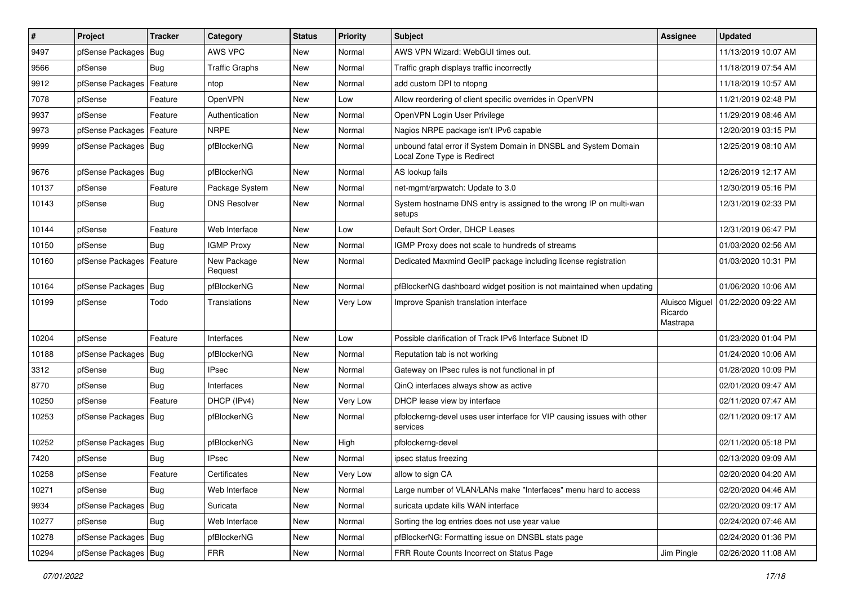| $\vert$ # | Project                    | <b>Tracker</b> | Category               | <b>Status</b> | <b>Priority</b> | <b>Subject</b>                                                                                 | Assignee                              | <b>Updated</b>      |
|-----------|----------------------------|----------------|------------------------|---------------|-----------------|------------------------------------------------------------------------------------------------|---------------------------------------|---------------------|
| 9497      | pfSense Packages           | Bug            | AWS VPC                | New           | Normal          | AWS VPN Wizard: WebGUI times out.                                                              |                                       | 11/13/2019 10:07 AM |
| 9566      | pfSense                    | <b>Bug</b>     | <b>Traffic Graphs</b>  | New           | Normal          | Traffic graph displays traffic incorrectly                                                     |                                       | 11/18/2019 07:54 AM |
| 9912      | pfSense Packages           | Feature        | ntop                   | New           | Normal          | add custom DPI to ntopng                                                                       |                                       | 11/18/2019 10:57 AM |
| 7078      | pfSense                    | Feature        | <b>OpenVPN</b>         | New           | Low             | Allow reordering of client specific overrides in OpenVPN                                       |                                       | 11/21/2019 02:48 PM |
| 9937      | pfSense                    | Feature        | Authentication         | New           | Normal          | OpenVPN Login User Privilege                                                                   |                                       | 11/29/2019 08:46 AM |
| 9973      | pfSense Packages           | Feature        | <b>NRPE</b>            | New           | Normal          | Nagios NRPE package isn't IPv6 capable                                                         |                                       | 12/20/2019 03:15 PM |
| 9999      | pfSense Packages   Bug     |                | pfBlockerNG            | New           | Normal          | unbound fatal error if System Domain in DNSBL and System Domain<br>Local Zone Type is Redirect |                                       | 12/25/2019 08:10 AM |
| 9676      | pfSense Packages           | Bug            | pfBlockerNG            | <b>New</b>    | Normal          | AS lookup fails                                                                                |                                       | 12/26/2019 12:17 AM |
| 10137     | pfSense                    | Feature        | Package System         | New           | Normal          | net-mgmt/arpwatch: Update to 3.0                                                               |                                       | 12/30/2019 05:16 PM |
| 10143     | pfSense                    | <b>Bug</b>     | <b>DNS Resolver</b>    | New           | Normal          | System hostname DNS entry is assigned to the wrong IP on multi-wan<br>setups                   |                                       | 12/31/2019 02:33 PM |
| 10144     | pfSense                    | Feature        | Web Interface          | New           | Low             | Default Sort Order, DHCP Leases                                                                |                                       | 12/31/2019 06:47 PM |
| 10150     | pfSense                    | Bug            | <b>IGMP Proxy</b>      | <b>New</b>    | Normal          | IGMP Proxy does not scale to hundreds of streams                                               |                                       | 01/03/2020 02:56 AM |
| 10160     | pfSense Packages   Feature |                | New Package<br>Request | New           | Normal          | Dedicated Maxmind GeoIP package including license registration                                 |                                       | 01/03/2020 10:31 PM |
| 10164     | pfSense Packages           | Bug            | pfBlockerNG            | New           | Normal          | pfBlockerNG dashboard widget position is not maintained when updating                          |                                       | 01/06/2020 10:06 AM |
| 10199     | pfSense                    | Todo           | Translations           | New           | Very Low        | Improve Spanish translation interface                                                          | Aluisco Miguel<br>Ricardo<br>Mastrapa | 01/22/2020 09:22 AM |
| 10204     | pfSense                    | Feature        | Interfaces             | New           | Low             | Possible clarification of Track IPv6 Interface Subnet ID                                       |                                       | 01/23/2020 01:04 PM |
| 10188     | pfSense Packages           | Bug            | pfBlockerNG            | New           | Normal          | Reputation tab is not working                                                                  |                                       | 01/24/2020 10:06 AM |
| 3312      | pfSense                    | Bug            | <b>IPsec</b>           | New           | Normal          | Gateway on IPsec rules is not functional in pf                                                 |                                       | 01/28/2020 10:09 PM |
| 8770      | pfSense                    | Bug            | Interfaces             | <b>New</b>    | Normal          | QinQ interfaces always show as active                                                          |                                       | 02/01/2020 09:47 AM |
| 10250     | pfSense                    | Feature        | DHCP (IPv4)            | <b>New</b>    | Very Low        | DHCP lease view by interface                                                                   |                                       | 02/11/2020 07:47 AM |
| 10253     | pfSense Packages   Bug     |                | pfBlockerNG            | New           | Normal          | pfblockerng-devel uses user interface for VIP causing issues with other<br>services            |                                       | 02/11/2020 09:17 AM |
| 10252     | pfSense Packages   Bug     |                | pfBlockerNG            | New           | High            | pfblockerng-devel                                                                              |                                       | 02/11/2020 05:18 PM |
| 7420      | pfSense                    | Bug            | <b>IPsec</b>           | <b>New</b>    | Normal          | ipsec status freezing                                                                          |                                       | 02/13/2020 09:09 AM |
| 10258     | pfSense                    | Feature        | Certificates           | New           | Very Low        | allow to sign CA                                                                               |                                       | 02/20/2020 04:20 AM |
| 10271     | pfSense                    | Bug            | Web Interface          | New           | Normal          | Large number of VLAN/LANs make "Interfaces" menu hard to access                                |                                       | 02/20/2020 04:46 AM |
| 9934      | pfSense Packages           | <b>Bug</b>     | Suricata               | New           | Normal          | suricata update kills WAN interface                                                            |                                       | 02/20/2020 09:17 AM |
| 10277     | pfSense                    | <b>Bug</b>     | Web Interface          | New           | Normal          | Sorting the log entries does not use year value                                                |                                       | 02/24/2020 07:46 AM |
| 10278     | pfSense Packages   Bug     |                | pfBlockerNG            | New           | Normal          | pfBlockerNG: Formatting issue on DNSBL stats page                                              |                                       | 02/24/2020 01:36 PM |
| 10294     | pfSense Packages   Bug     |                | <b>FRR</b>             | New           | Normal          | FRR Route Counts Incorrect on Status Page                                                      | Jim Pingle                            | 02/26/2020 11:08 AM |